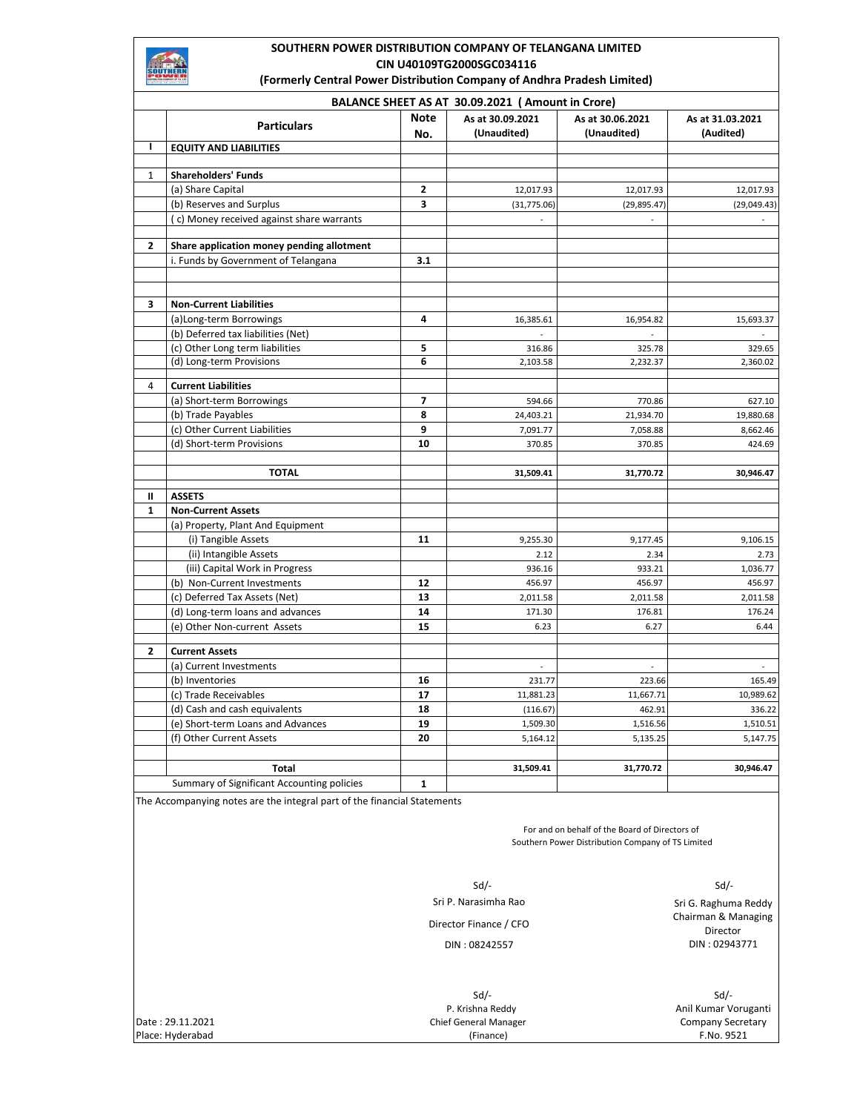# **SOUTHERN POWER DISTRIBUTION COMPANY OF TELANGANA LIMITED CIN U40109TG2000SGC034116**

**(Formerly Central Power Distribution Company of Andhra Pradesh Limited)** 

|                | BALANCE SHEET AS AT 30.09.2021 (Amount in Crore) |                    |                                 |                                 |                               |
|----------------|--------------------------------------------------|--------------------|---------------------------------|---------------------------------|-------------------------------|
|                | <b>Particulars</b>                               | <b>Note</b><br>No. | As at 30.09.2021<br>(Unaudited) | As at 30.06.2021<br>(Unaudited) | As at 31.03.2021<br>(Audited) |
| т              | <b>EQUITY AND LIABILITIES</b>                    |                    |                                 |                                 |                               |
|                |                                                  |                    |                                 |                                 |                               |
| $\mathbf{1}$   | <b>Shareholders' Funds</b>                       |                    |                                 |                                 |                               |
|                | (a) Share Capital                                | 2                  | 12,017.93                       | 12,017.93                       | 12,017.93                     |
|                | (b) Reserves and Surplus                         | 3                  | (31,775.06)                     | (29, 895.47)                    | (29, 049.43)                  |
|                | (c) Money received against share warrants        |                    |                                 |                                 |                               |
| $\overline{2}$ | Share application money pending allotment        |                    |                                 |                                 |                               |
|                | i. Funds by Government of Telangana              | 3.1                |                                 |                                 |                               |
|                |                                                  |                    |                                 |                                 |                               |
| 3              | <b>Non-Current Liabilities</b>                   |                    |                                 |                                 |                               |
|                | (a)Long-term Borrowings                          | 4                  | 16,385.61                       | 16,954.82                       | 15,693.37                     |
|                | (b) Deferred tax liabilities (Net)               |                    |                                 |                                 |                               |
|                | (c) Other Long term liabilities                  | 5                  | 316.86                          | 325.78                          | 329.65                        |
|                | (d) Long-term Provisions                         | 6                  | 2,103.58                        | 2,232.37                        | 2,360.02                      |
| $\overline{4}$ | <b>Current Liabilities</b>                       |                    |                                 |                                 |                               |
|                | (a) Short-term Borrowings                        | $\overline{7}$     | 594.66                          | 770.86                          | 627.10                        |
|                | (b) Trade Payables                               | 8                  | 24,403.21                       | 21,934.70                       | 19,880.68                     |
|                | (c) Other Current Liabilities                    | 9                  | 7,091.77                        | 7,058.88                        | 8,662.46                      |
|                | (d) Short-term Provisions                        | 10                 | 370.85                          | 370.85                          | 424.69                        |
|                |                                                  |                    |                                 |                                 |                               |
|                | <b>TOTAL</b>                                     |                    | 31,509.41                       | 31,770.72                       | 30,946.47                     |
| Ш              | <b>ASSETS</b>                                    |                    |                                 |                                 |                               |
| $\mathbf{1}$   | <b>Non-Current Assets</b>                        |                    |                                 |                                 |                               |
|                | (a) Property, Plant And Equipment                |                    |                                 |                                 |                               |
|                | (i) Tangible Assets                              | 11                 | 9,255.30                        | 9,177.45                        | 9,106.15                      |
|                | (ii) Intangible Assets                           |                    | 2.12                            | 2.34                            | 2.73                          |
|                | (iii) Capital Work in Progress                   |                    | 936.16                          | 933.21                          | 1,036.77                      |
|                | (b) Non-Current Investments                      | 12                 | 456.97                          | 456.97                          | 456.97                        |
|                | (c) Deferred Tax Assets (Net)                    | 13                 | 2,011.58                        | 2,011.58                        | 2,011.58                      |
|                | (d) Long-term loans and advances                 | 14                 | 171.30                          | 176.81                          | 176.24                        |
|                | (e) Other Non-current Assets                     | 15                 | 6.23                            | 6.27                            | 6.44                          |
|                |                                                  |                    |                                 |                                 |                               |
| 2              | <b>Current Assets</b>                            |                    |                                 |                                 |                               |
|                | (a) Current Investments                          |                    | $\Box$                          | $\overline{a}$                  |                               |
|                | (b) Inventories                                  | 16                 | 231.77                          | 223.66                          | 165.49                        |
|                | (c) Trade Receivables                            | 17                 | 11,881.23                       | 11,667.71                       | 10,989.62                     |
|                | (d) Cash and cash equivalents                    | 18                 | (116.67)                        | 462.91                          | 336.22                        |
|                | (e) Short-term Loans and Advances                | 19                 | 1,509.30                        | 1,516.56                        | 1,510.51                      |
|                | (f) Other Current Assets                         | 20                 | 5,164.12                        | 5,135.25                        | 5,147.75                      |
|                |                                                  |                    |                                 | 31,770.72                       |                               |
|                | Total                                            |                    | 31,509.41                       |                                 | 30,946.47                     |
|                | Summary of Significant Accounting policies       | 1                  |                                 |                                 |                               |

The Accompanying notes are the integral part of the financial Statements

For and on behalf of the Board of Directors of Southern Power Distribution Company of TS Limited

 $Sd$ - $Sd$ -

Sri P. Narasimha Rao

Director Finance / CFO

DIN : 08242557

Sri G. Raghuma Reddy Chairman & Managing Director DIN : 02943771

 Sd/- Sd/- P. Krishna Reddy (Finance)

Anil Kumar Voruganti Date : 29.11.2021 Company Secretary Chief General Manager

Place: Hyderabad F.No. 9521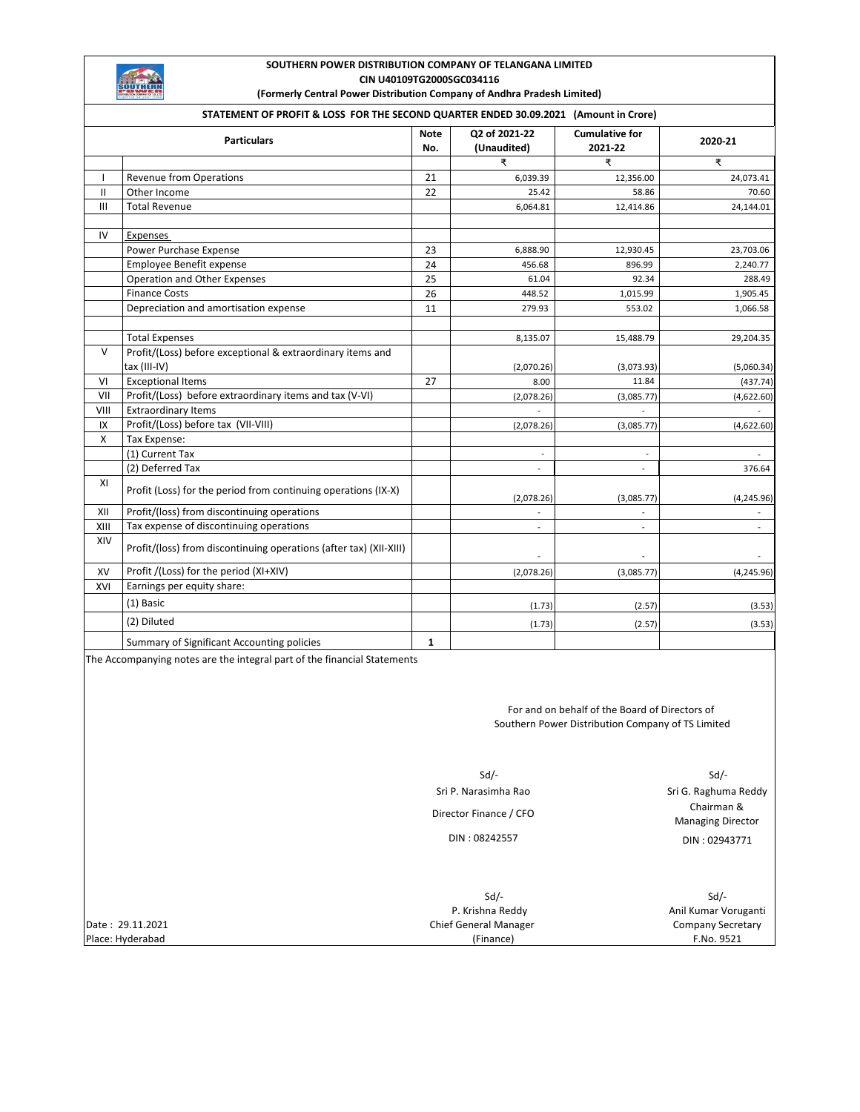# **SOUTHERN POWER DISTRIBUTION COMPANY OF TELANGANA LIMITED CIN U40109TG2000SGC034116**

**(Formerly Central Power Distribution Company of Andhra Pradesh Limited)** 

# **STATEMENT OF PROFIT & LOSS FOR THE SECOND QUARTER ENDED 30.09.2021 (Amount in Crore)**

|              | <b>Particulars</b>                                                         | <b>Note</b><br>No. | Q2 of 2021-22<br>(Unaudited) | <b>Cumulative for</b><br>2021-22 | 2020-21                  |
|--------------|----------------------------------------------------------------------------|--------------------|------------------------------|----------------------------------|--------------------------|
|              |                                                                            |                    | ₹                            | ₹                                | ₹                        |
| ı            | <b>Revenue from Operations</b>                                             | 21                 | 6,039.39                     | 12,356.00                        | 24,073.41                |
| $\mathbf{H}$ | Other Income                                                               | 22                 | 25.42                        | 58.86                            | 70.60                    |
| III          | <b>Total Revenue</b>                                                       |                    | 6,064.81                     | 12,414.86                        | 24,144.01                |
| IV           | Expenses                                                                   |                    |                              |                                  |                          |
|              | Power Purchase Expense                                                     | 23                 | 6,888.90                     | 12,930.45                        | 23,703.06                |
|              | Employee Benefit expense                                                   | 24                 | 456.68                       | 896.99                           | 2,240.77                 |
|              | Operation and Other Expenses                                               | 25                 | 61.04                        | 92.34                            | 288.49                   |
|              | <b>Finance Costs</b>                                                       | 26                 | 448.52                       | 1,015.99                         | 1,905.45                 |
|              | Depreciation and amortisation expense                                      | 11                 | 279.93                       | 553.02                           | 1,066.58                 |
|              | <b>Total Expenses</b>                                                      |                    | 8,135.07                     | 15,488.79                        | 29,204.35                |
| $\vee$       | Profit/(Loss) before exceptional & extraordinary items and<br>tax (III-IV) |                    | (2,070.26)                   | (3,073.93)                       | (5,060.34)               |
| VI           | <b>Exceptional Items</b>                                                   | 27                 | 8.00                         | 11.84                            | (437.74)                 |
| VII          | Profit/(Loss) before extraordinary items and tax (V-VI)                    |                    | (2,078.26)                   | (3,085.77)                       | (4,622.60)               |
| VIII         | <b>Extraordinary Items</b>                                                 |                    |                              |                                  |                          |
| IX           | Profit/(Loss) before tax (VII-VIII)                                        |                    | (2,078.26)                   | (3,085.77)                       | (4,622.60)               |
| X            | Tax Expense:                                                               |                    |                              |                                  |                          |
|              | (1) Current Tax                                                            |                    |                              |                                  |                          |
|              | (2) Deferred Tax                                                           |                    |                              |                                  | 376.64                   |
| XI           | Profit (Loss) for the period from continuing operations (IX-X)             |                    | (2,078.26)                   | (3,085.77)                       | (4, 245.96)              |
| XII          | Profit/(loss) from discontinuing operations                                |                    |                              |                                  |                          |
| XIII         | Tax expense of discontinuing operations                                    |                    | $\overline{\phantom{a}}$     | $\overline{\phantom{a}}$         | $\overline{\phantom{a}}$ |
| XIV          | Profit/(loss) from discontinuing operations (after tax) (XII-XIII)         |                    | ÷                            |                                  |                          |
| XV           | Profit /(Loss) for the period (XI+XIV)                                     |                    | (2,078.26)                   | (3,085.77)                       | (4, 245.96)              |
| XVI          | Earnings per equity share:                                                 |                    |                              |                                  |                          |
|              | (1) Basic                                                                  |                    | (1.73)                       | (2.57)                           | (3.53)                   |
|              | (2) Diluted                                                                |                    | (1.73)                       | (2.57)                           | (3.53)                   |
|              | Summary of Significant Accounting policies                                 | 1                  |                              |                                  |                          |

The Accompanying notes are the integral part of the financial Statements

For and on behalf of the Board of Directors of Southern Power Distribution Company of TS Limited

 $Sd$ - $Sd$ -DIN : 08242557 Sri P. Narasimha Rao Director Finance / CFO

Sri G. Raghuma Reddy Chairman & Managing Director DIN : 02943771

 $Sd$ - $Sd$ -Date : 29.11.2021 Company Secretary Chief General Manager Place: Hyderabad F.No. 9521 P. Krishna Reddy (Finance)

Anil Kumar Voruganti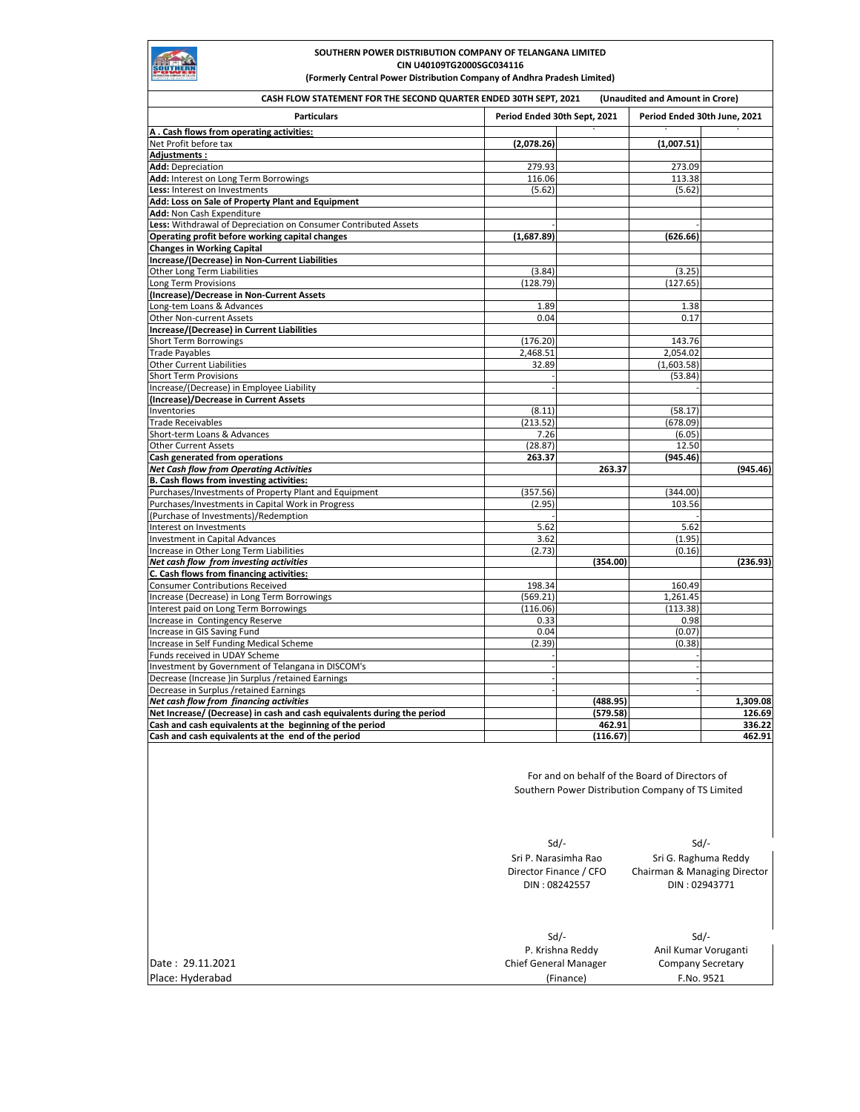# SOUTHERN

# **SOUTHERN POWER DISTRIBUTION COMPANY OF TELANGANA LIMITED CIN U40109TG2000SGC034116**

**(Formerly Central Power Distribution Company of Andhra Pradesh Limited)** 

| CASH FLOW STATEMENT FOR THE SECOND QUARTER ENDED 30TH SEPT, 2021                                                   |                                                                                                                                                                |                      | (Unaudited and Amount in Crore)                                                                     |                    |
|--------------------------------------------------------------------------------------------------------------------|----------------------------------------------------------------------------------------------------------------------------------------------------------------|----------------------|-----------------------------------------------------------------------------------------------------|--------------------|
| <b>Particulars</b>                                                                                                 | Period Ended 30th Sept, 2021                                                                                                                                   |                      | Period Ended 30th June, 2021                                                                        |                    |
| A. Cash flows from operating activities:                                                                           |                                                                                                                                                                |                      |                                                                                                     |                    |
| Net Profit before tax<br>Adjustments:                                                                              | (2,078.26)                                                                                                                                                     |                      | (1,007.51)                                                                                          |                    |
| Add: Depreciation                                                                                                  | 279.93                                                                                                                                                         |                      | 273.09                                                                                              |                    |
| Add: Interest on Long Term Borrowings                                                                              | 116.06                                                                                                                                                         |                      | 113.38                                                                                              |                    |
| Less: Interest on Investments                                                                                      | (5.62)                                                                                                                                                         |                      | (5.62)                                                                                              |                    |
| Add: Loss on Sale of Property Plant and Equipment                                                                  |                                                                                                                                                                |                      |                                                                                                     |                    |
| Add: Non Cash Expenditure                                                                                          |                                                                                                                                                                |                      |                                                                                                     |                    |
| Less: Withdrawal of Depreciation on Consumer Contributed Assets<br>Operating profit before working capital changes |                                                                                                                                                                |                      | (626.66)                                                                                            |                    |
| <b>Changes in Working Capital</b>                                                                                  | (1,687.89)                                                                                                                                                     |                      |                                                                                                     |                    |
| Increase/(Decrease) in Non-Current Liabilities                                                                     |                                                                                                                                                                |                      |                                                                                                     |                    |
| <b>Other Long Term Liabilities</b>                                                                                 | (3.84)                                                                                                                                                         |                      | (3.25)                                                                                              |                    |
| Long Term Provisions                                                                                               | (128.79)                                                                                                                                                       |                      | (127.65)                                                                                            |                    |
| (Increase)/Decrease in Non-Current Assets                                                                          |                                                                                                                                                                |                      |                                                                                                     |                    |
| Long-tem Loans & Advances                                                                                          | 1.89                                                                                                                                                           |                      | 1.38                                                                                                |                    |
| Other Non-current Assets                                                                                           | 0.04                                                                                                                                                           |                      | 0.17                                                                                                |                    |
| Increase/(Decrease) in Current Liabilities                                                                         |                                                                                                                                                                |                      |                                                                                                     |                    |
| <b>Short Term Borrowings</b><br><b>Trade Payables</b>                                                              | (176.20)<br>2,468.51                                                                                                                                           |                      | 143.76<br>2,054.02                                                                                  |                    |
| <b>Other Current Liabilities</b>                                                                                   | 32.89                                                                                                                                                          |                      | (1,603.58)                                                                                          |                    |
| <b>Short Term Provisions</b>                                                                                       |                                                                                                                                                                |                      | (53.84)                                                                                             |                    |
| Increase/(Decrease) in Employee Liability                                                                          |                                                                                                                                                                |                      |                                                                                                     |                    |
| (Increase)/Decrease in Current Assets                                                                              |                                                                                                                                                                |                      |                                                                                                     |                    |
| Inventories                                                                                                        | (8.11)                                                                                                                                                         |                      | (58.17)                                                                                             |                    |
| <b>Trade Receivables</b>                                                                                           | (213.52)                                                                                                                                                       |                      | (678.09)                                                                                            |                    |
| Short-term Loans & Advances                                                                                        | 7.26                                                                                                                                                           |                      | (6.05)                                                                                              |                    |
| <b>Other Current Assets</b>                                                                                        | (28.87)                                                                                                                                                        |                      | 12.50                                                                                               |                    |
| Cash generated from operations                                                                                     | 263.37                                                                                                                                                         | 263.37               | (945.46)                                                                                            |                    |
| <b>Net Cash flow from Operating Activities</b><br>B. Cash flows from investing activities:                         |                                                                                                                                                                |                      |                                                                                                     | (945.46)           |
| Purchases/Investments of Property Plant and Equipment                                                              | (357.56)                                                                                                                                                       |                      | (344.00)                                                                                            |                    |
| Purchases/Investments in Capital Work in Progress                                                                  | (2.95)                                                                                                                                                         |                      | 103.56                                                                                              |                    |
| (Purchase of Investments)/Redemption                                                                               |                                                                                                                                                                |                      |                                                                                                     |                    |
| Interest on Investments                                                                                            | 5.62                                                                                                                                                           |                      | 5.62                                                                                                |                    |
| <b>Investment in Capital Advances</b>                                                                              | 3.62                                                                                                                                                           |                      | (1.95)                                                                                              |                    |
| Increase in Other Long Term Liabilities                                                                            | (2.73)                                                                                                                                                         |                      | (0.16)                                                                                              |                    |
| Net cash flow from investing activities                                                                            |                                                                                                                                                                | (354.00)             |                                                                                                     | (236.93)           |
| C. Cash flows from financing activities:                                                                           |                                                                                                                                                                |                      |                                                                                                     |                    |
| <b>Consumer Contributions Received</b><br>Increase (Decrease) in Long Term Borrowings                              | 198.34<br>(569.21)                                                                                                                                             |                      | 160.49<br>1,261.45                                                                                  |                    |
| Interest paid on Long Term Borrowings                                                                              | (116.06)                                                                                                                                                       |                      | (113.38)                                                                                            |                    |
| Increase in Contingency Reserve                                                                                    | 0.33                                                                                                                                                           |                      | 0.98                                                                                                |                    |
| Increase in GIS Saving Fund                                                                                        | 0.04                                                                                                                                                           |                      | (0.07)                                                                                              |                    |
| Increase in Self Funding Medical Scheme                                                                            | (2.39)                                                                                                                                                         |                      | (0.38)                                                                                              |                    |
| Funds received in UDAY Scheme                                                                                      |                                                                                                                                                                |                      |                                                                                                     |                    |
| Investment by Government of Telangana in DISCOM's                                                                  |                                                                                                                                                                |                      |                                                                                                     |                    |
| Decrease (Increase )in Surplus /retained Earnings                                                                  |                                                                                                                                                                |                      |                                                                                                     |                    |
| Decrease in Surplus /retained Earnings                                                                             |                                                                                                                                                                |                      |                                                                                                     |                    |
| Net cash flow from financing activities<br>Net Increase/ (Decrease) in cash and cash equivalents during the period |                                                                                                                                                                | (488.95)<br>(579.58) |                                                                                                     | 1,309.08<br>126.69 |
| Cash and cash equivalents at the beginning of the period                                                           |                                                                                                                                                                | 462.91               |                                                                                                     | 336.22             |
| Cash and cash equivalents at the end of the period                                                                 |                                                                                                                                                                | (116.67)             |                                                                                                     | 462.91             |
|                                                                                                                    |                                                                                                                                                                |                      | For and on behalf of the Board of Directors of<br>Southern Power Distribution Company of TS Limited |                    |
|                                                                                                                    | $Sd$ /-<br>$Sd$ /-<br>Sri P. Narasimha Rao<br>Sri G. Raghuma Reddy<br>Director Finance / CFO<br>Chairman & Managing Director<br>DIN: 02943771<br>DIN: 08242557 |                      |                                                                                                     |                    |
| Date: 29.11.2021<br>Place: Hyderabad                                                                               | $Sd$ /-<br>P. Krishna Reddy<br><b>Chief General Manager</b><br>(Finance)                                                                                       |                      | $Sd$ /-<br>Anil Kumar Voruganti<br><b>Company Secretary</b><br>F.No. 9521                           |                    |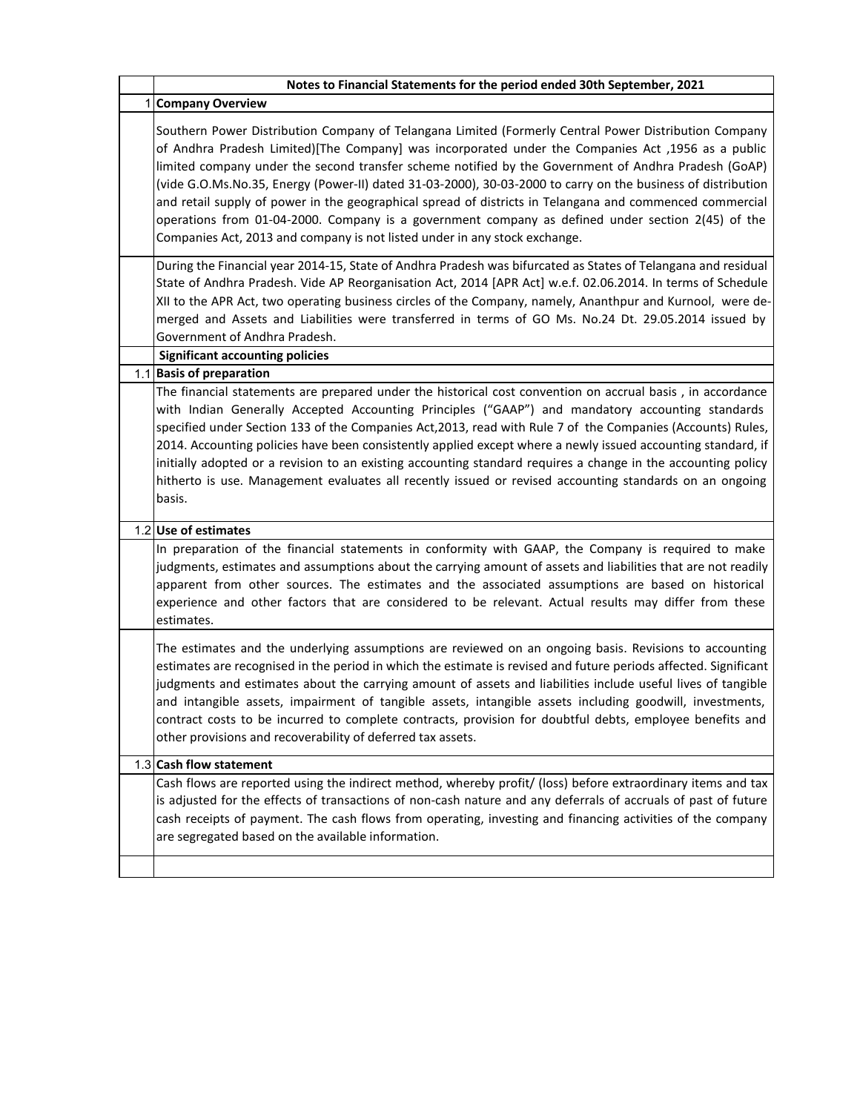| Notes to Financial Statements for the period ended 30th September, 2021                                                                                                                                                                                                                                                                                                                                                                                                                                                                                                                                                                                                                                                            |
|------------------------------------------------------------------------------------------------------------------------------------------------------------------------------------------------------------------------------------------------------------------------------------------------------------------------------------------------------------------------------------------------------------------------------------------------------------------------------------------------------------------------------------------------------------------------------------------------------------------------------------------------------------------------------------------------------------------------------------|
| <b>Company Overview</b>                                                                                                                                                                                                                                                                                                                                                                                                                                                                                                                                                                                                                                                                                                            |
| Southern Power Distribution Company of Telangana Limited (Formerly Central Power Distribution Company<br>of Andhra Pradesh Limited)[The Company] was incorporated under the Companies Act ,1956 as a public<br>limited company under the second transfer scheme notified by the Government of Andhra Pradesh (GoAP)<br>(vide G.O.Ms.No.35, Energy (Power-II) dated 31-03-2000), 30-03-2000 to carry on the business of distribution<br>and retail supply of power in the geographical spread of districts in Telangana and commenced commercial<br>operations from 01-04-2000. Company is a government company as defined under section 2(45) of the<br>Companies Act, 2013 and company is not listed under in any stock exchange. |
| During the Financial year 2014-15, State of Andhra Pradesh was bifurcated as States of Telangana and residual<br>State of Andhra Pradesh. Vide AP Reorganisation Act, 2014 [APR Act] w.e.f. 02.06.2014. In terms of Schedule<br>XII to the APR Act, two operating business circles of the Company, namely, Ananthpur and Kurnool, were de-<br>merged and Assets and Liabilities were transferred in terms of GO Ms. No.24 Dt. 29.05.2014 issued by<br>Government of Andhra Pradesh.                                                                                                                                                                                                                                                |
| <b>Significant accounting policies</b>                                                                                                                                                                                                                                                                                                                                                                                                                                                                                                                                                                                                                                                                                             |
| 1.1 Basis of preparation<br>The financial statements are prepared under the historical cost convention on accrual basis, in accordance<br>with Indian Generally Accepted Accounting Principles ("GAAP") and mandatory accounting standards<br>specified under Section 133 of the Companies Act, 2013, read with Rule 7 of the Companies (Accounts) Rules,<br>2014. Accounting policies have been consistently applied except where a newly issued accounting standard, if<br>initially adopted or a revision to an existing accounting standard requires a change in the accounting policy<br>hitherto is use. Management evaluates all recently issued or revised accounting standards on an ongoing<br>basis.                    |
| 1.2 Use of estimates                                                                                                                                                                                                                                                                                                                                                                                                                                                                                                                                                                                                                                                                                                               |
| In preparation of the financial statements in conformity with GAAP, the Company is required to make<br>judgments, estimates and assumptions about the carrying amount of assets and liabilities that are not readily<br>apparent from other sources. The estimates and the associated assumptions are based on historical<br>experience and other factors that are considered to be relevant. Actual results may differ from these<br>estimates.                                                                                                                                                                                                                                                                                   |
| The estimates and the underlying assumptions are reviewed on an ongoing basis. Revisions to accounting<br>estimates are recognised in the period in which the estimate is revised and future periods affected. Significant<br>judgments and estimates about the carrying amount of assets and liabilities include useful lives of tangible<br>and intangible assets, impairment of tangible assets, intangible assets including goodwill, investments,<br>contract costs to be incurred to complete contracts, provision for doubtful debts, employee benefits and<br>other provisions and recoverability of deferred tax assets.                                                                                                  |
| 1.3 Cash flow statement                                                                                                                                                                                                                                                                                                                                                                                                                                                                                                                                                                                                                                                                                                            |
| Cash flows are reported using the indirect method, whereby profit/ (loss) before extraordinary items and tax<br>is adjusted for the effects of transactions of non-cash nature and any deferrals of accruals of past of future<br>cash receipts of payment. The cash flows from operating, investing and financing activities of the company<br>are segregated based on the available information.                                                                                                                                                                                                                                                                                                                                 |
|                                                                                                                                                                                                                                                                                                                                                                                                                                                                                                                                                                                                                                                                                                                                    |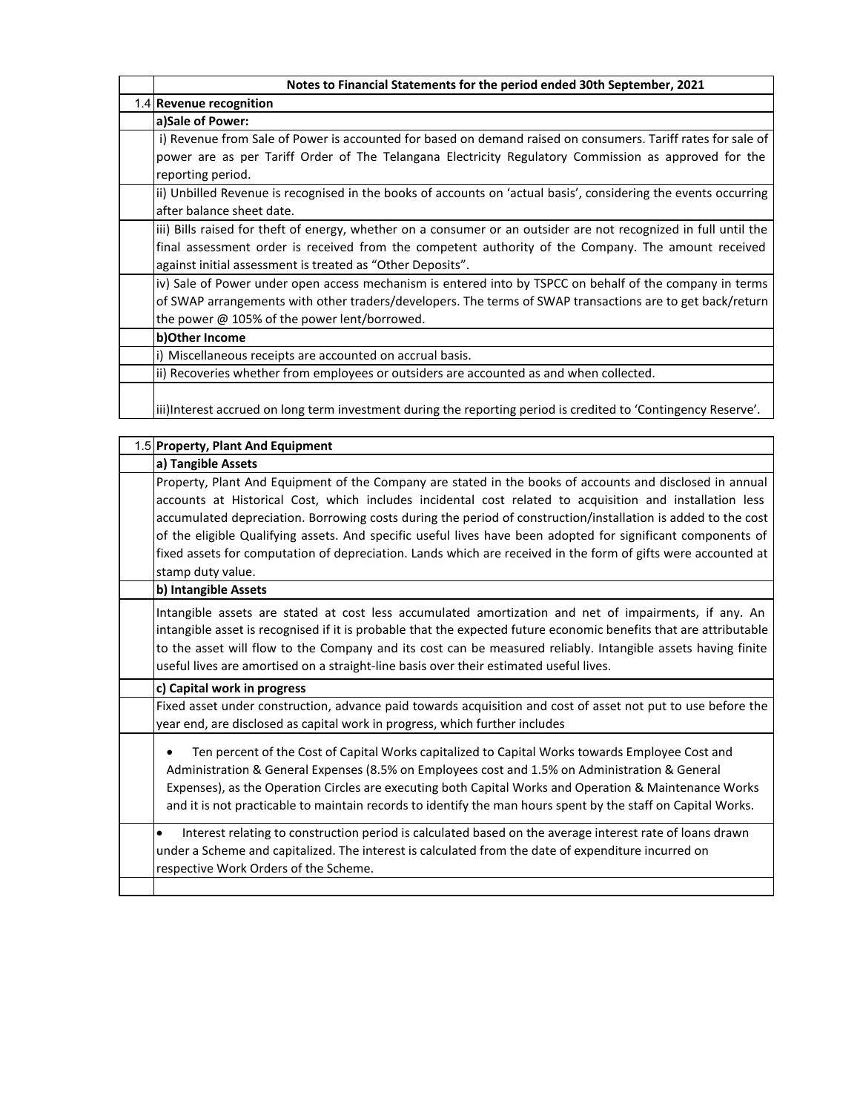| Notes to Financial Statements for the period ended 30th September, 2021                                          |
|------------------------------------------------------------------------------------------------------------------|
| 1.4 Revenue recognition                                                                                          |
| a)Sale of Power:                                                                                                 |
| i) Revenue from Sale of Power is accounted for based on demand raised on consumers. Tariff rates for sale of     |
| power are as per Tariff Order of The Telangana Electricity Regulatory Commission as approved for the             |
| reporting period.                                                                                                |
| ii) Unbilled Revenue is recognised in the books of accounts on 'actual basis', considering the events occurring  |
| after balance sheet date.                                                                                        |
| iii) Bills raised for theft of energy, whether on a consumer or an outsider are not recognized in full until the |
| final assessment order is received from the competent authority of the Company. The amount received              |
| against initial assessment is treated as "Other Deposits".                                                       |
| iv) Sale of Power under open access mechanism is entered into by TSPCC on behalf of the company in terms         |
| of SWAP arrangements with other traders/developers. The terms of SWAP transactions are to get back/return        |
| the power @ 105% of the power lent/borrowed.                                                                     |
| b) Other Income                                                                                                  |
| i) Miscellaneous receipts are accounted on accrual basis.                                                        |
| (ii) Recoveries whether from employees or outsiders are accounted as and when collected.                         |
| liii)Interest accrued on long term investment during the reporting period is credited to 'Contingency Reserve'.  |

| 1.5 Property, Plant And Equipment                                                                                                                                                                                                                                                                                                                                                                                                                                                                                                                                                           |
|---------------------------------------------------------------------------------------------------------------------------------------------------------------------------------------------------------------------------------------------------------------------------------------------------------------------------------------------------------------------------------------------------------------------------------------------------------------------------------------------------------------------------------------------------------------------------------------------|
| a) Tangible Assets                                                                                                                                                                                                                                                                                                                                                                                                                                                                                                                                                                          |
| Property, Plant And Equipment of the Company are stated in the books of accounts and disclosed in annual<br>accounts at Historical Cost, which includes incidental cost related to acquisition and installation less<br>accumulated depreciation. Borrowing costs during the period of construction/installation is added to the cost<br>of the eligible Qualifying assets. And specific useful lives have been adopted for significant components of<br>fixed assets for computation of depreciation. Lands which are received in the form of gifts were accounted at<br>stamp duty value. |
| b) Intangible Assets                                                                                                                                                                                                                                                                                                                                                                                                                                                                                                                                                                        |
| Intangible assets are stated at cost less accumulated amortization and net of impairments, if any. An<br>intangible asset is recognised if it is probable that the expected future economic benefits that are attributable<br>to the asset will flow to the Company and its cost can be measured reliably. Intangible assets having finite<br>useful lives are amortised on a straight-line basis over their estimated useful lives.                                                                                                                                                        |
| c) Capital work in progress                                                                                                                                                                                                                                                                                                                                                                                                                                                                                                                                                                 |
| Fixed asset under construction, advance paid towards acquisition and cost of asset not put to use before the<br>year end, are disclosed as capital work in progress, which further includes                                                                                                                                                                                                                                                                                                                                                                                                 |
| Ten percent of the Cost of Capital Works capitalized to Capital Works towards Employee Cost and<br>Administration & General Expenses (8.5% on Employees cost and 1.5% on Administration & General<br>Expenses), as the Operation Circles are executing both Capital Works and Operation & Maintenance Works<br>and it is not practicable to maintain records to identify the man hours spent by the staff on Capital Works.                                                                                                                                                                 |
| Interest relating to construction period is calculated based on the average interest rate of loans drawn<br>$\bullet$<br>under a Scheme and capitalized. The interest is calculated from the date of expenditure incurred on<br>respective Work Orders of the Scheme.                                                                                                                                                                                                                                                                                                                       |
|                                                                                                                                                                                                                                                                                                                                                                                                                                                                                                                                                                                             |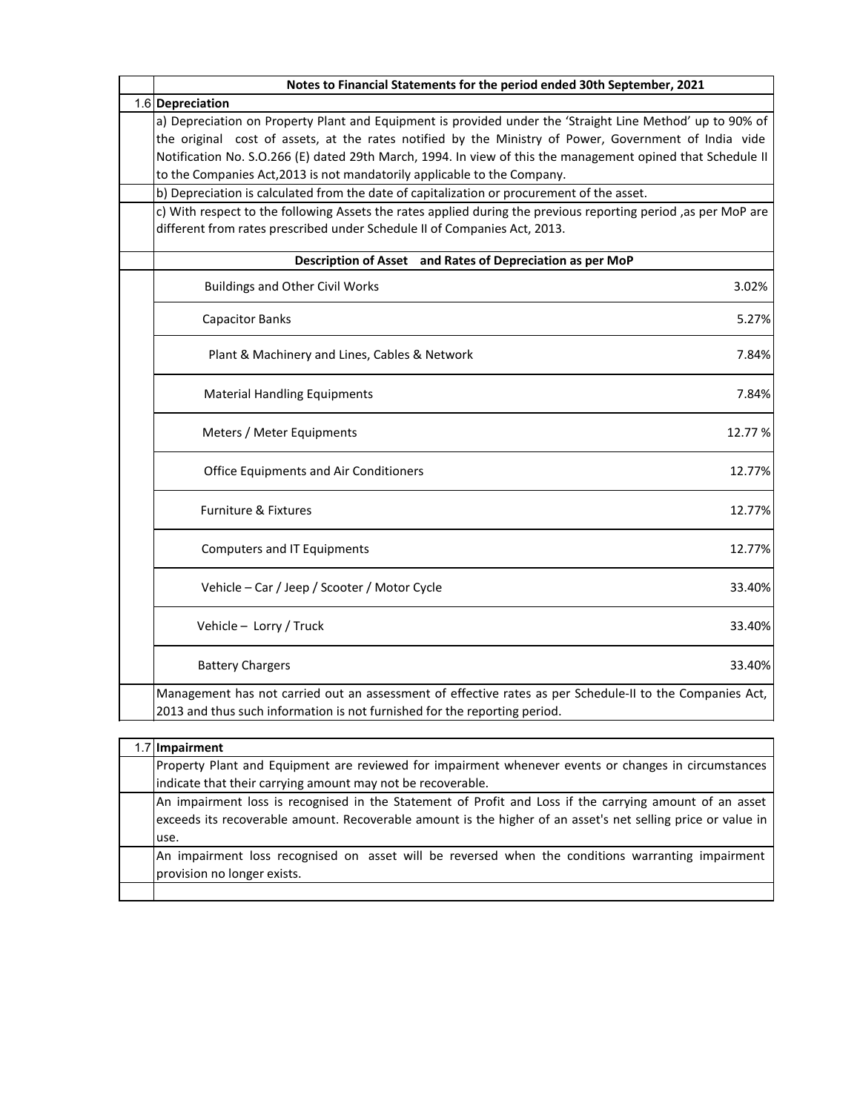| 1.6 Depreciation<br>a) Depreciation on Property Plant and Equipment is provided under the 'Straight Line Method' up to 90% of<br>the original cost of assets, at the rates notified by the Ministry of Power, Government of India vide |
|----------------------------------------------------------------------------------------------------------------------------------------------------------------------------------------------------------------------------------------|
|                                                                                                                                                                                                                                        |
| Notification No. S.O.266 (E) dated 29th March, 1994. In view of this the management opined that Schedule II<br>to the Companies Act, 2013 is not mandatorily applicable to the Company.                                                |
| b) Depreciation is calculated from the date of capitalization or procurement of the asset.                                                                                                                                             |
| c) With respect to the following Assets the rates applied during the previous reporting period ,as per MoP are<br>different from rates prescribed under Schedule II of Companies Act, 2013.                                            |
| Description of Asset and Rates of Depreciation as per MoP                                                                                                                                                                              |
| <b>Buildings and Other Civil Works</b><br>3.02%                                                                                                                                                                                        |
| <b>Capacitor Banks</b><br>5.27%                                                                                                                                                                                                        |
| Plant & Machinery and Lines, Cables & Network<br>7.84%                                                                                                                                                                                 |
| <b>Material Handling Equipments</b><br>7.84%                                                                                                                                                                                           |
| Meters / Meter Equipments<br>12.77%                                                                                                                                                                                                    |
| 12.77%<br><b>Office Equipments and Air Conditioners</b>                                                                                                                                                                                |
| <b>Furniture &amp; Fixtures</b><br>12.77%                                                                                                                                                                                              |
| <b>Computers and IT Equipments</b><br>12.77%                                                                                                                                                                                           |
| Vehicle - Car / Jeep / Scooter / Motor Cycle<br>33.40%                                                                                                                                                                                 |
| 33.40%<br>Vehicle - Lorry / Truck                                                                                                                                                                                                      |
| <b>Battery Chargers</b><br>33.40%                                                                                                                                                                                                      |
| Management has not carried out an assessment of effective rates as per Schedule-II to the Companies Act,<br>2013 and thus such information is not furnished for the reporting period.                                                  |
|                                                                                                                                                                                                                                        |

| 1.7 Impairment                                                                                                                                                                                                                  |
|---------------------------------------------------------------------------------------------------------------------------------------------------------------------------------------------------------------------------------|
| Property Plant and Equipment are reviewed for impairment whenever events or changes in circumstances                                                                                                                            |
| indicate that their carrying amount may not be recoverable.                                                                                                                                                                     |
| An impairment loss is recognised in the Statement of Profit and Loss if the carrying amount of an asset<br>exceeds its recoverable amount. Recoverable amount is the higher of an asset's net selling price or value in<br>use. |
| An impairment loss recognised on asset will be reversed when the conditions warranting impairment<br>provision no longer exists.                                                                                                |
|                                                                                                                                                                                                                                 |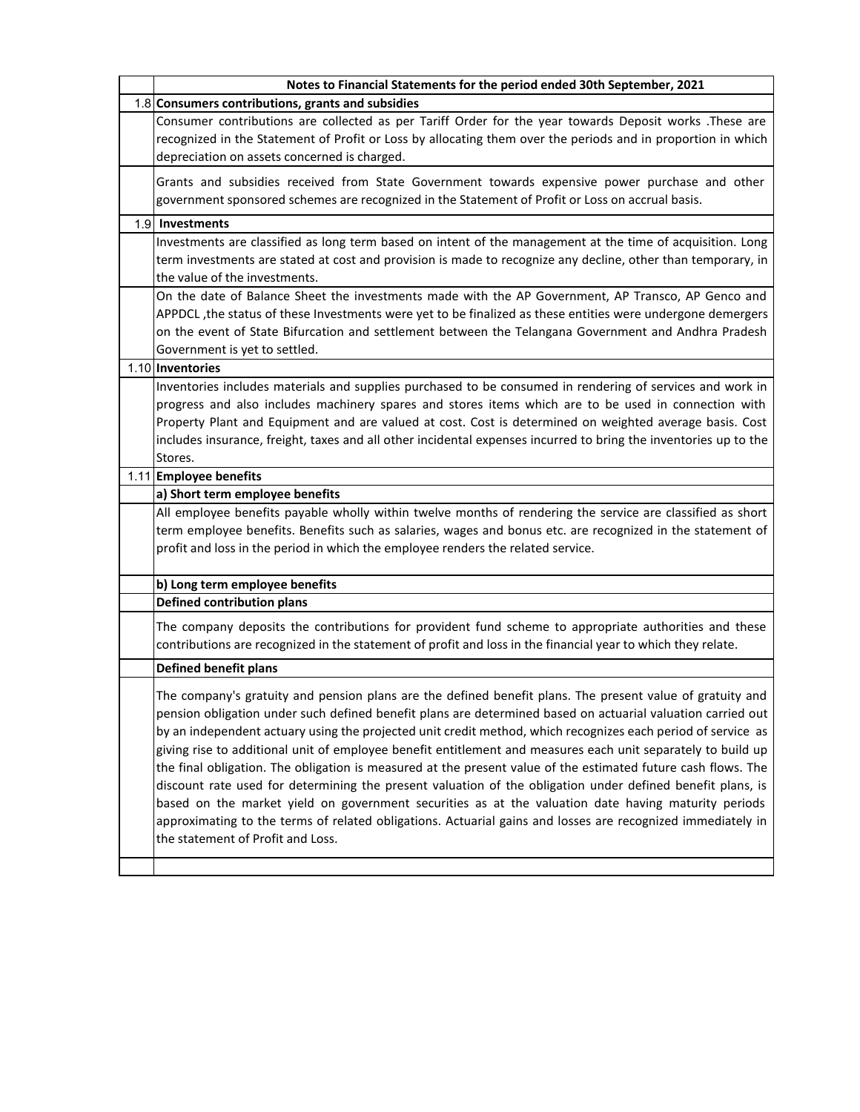| Notes to Financial Statements for the period ended 30th September, 2021                                                                                                                                                                                                                                                                                                                                                                                                                                                                                                                                                                                                                                                                                                                                                                                                                                                                            |
|----------------------------------------------------------------------------------------------------------------------------------------------------------------------------------------------------------------------------------------------------------------------------------------------------------------------------------------------------------------------------------------------------------------------------------------------------------------------------------------------------------------------------------------------------------------------------------------------------------------------------------------------------------------------------------------------------------------------------------------------------------------------------------------------------------------------------------------------------------------------------------------------------------------------------------------------------|
| 1.8 Consumers contributions, grants and subsidies                                                                                                                                                                                                                                                                                                                                                                                                                                                                                                                                                                                                                                                                                                                                                                                                                                                                                                  |
| Consumer contributions are collected as per Tariff Order for the year towards Deposit works .These are                                                                                                                                                                                                                                                                                                                                                                                                                                                                                                                                                                                                                                                                                                                                                                                                                                             |
| recognized in the Statement of Profit or Loss by allocating them over the periods and in proportion in which                                                                                                                                                                                                                                                                                                                                                                                                                                                                                                                                                                                                                                                                                                                                                                                                                                       |
| depreciation on assets concerned is charged.                                                                                                                                                                                                                                                                                                                                                                                                                                                                                                                                                                                                                                                                                                                                                                                                                                                                                                       |
| Grants and subsidies received from State Government towards expensive power purchase and other<br>government sponsored schemes are recognized in the Statement of Profit or Loss on accrual basis.                                                                                                                                                                                                                                                                                                                                                                                                                                                                                                                                                                                                                                                                                                                                                 |
| 1.9 Investments                                                                                                                                                                                                                                                                                                                                                                                                                                                                                                                                                                                                                                                                                                                                                                                                                                                                                                                                    |
| Investments are classified as long term based on intent of the management at the time of acquisition. Long<br>term investments are stated at cost and provision is made to recognize any decline, other than temporary, in<br>the value of the investments.                                                                                                                                                                                                                                                                                                                                                                                                                                                                                                                                                                                                                                                                                        |
| On the date of Balance Sheet the investments made with the AP Government, AP Transco, AP Genco and<br>APPDCL , the status of these Investments were yet to be finalized as these entities were undergone demergers<br>on the event of State Bifurcation and settlement between the Telangana Government and Andhra Pradesh<br>Government is yet to settled.                                                                                                                                                                                                                                                                                                                                                                                                                                                                                                                                                                                        |
| 1.10 Inventories                                                                                                                                                                                                                                                                                                                                                                                                                                                                                                                                                                                                                                                                                                                                                                                                                                                                                                                                   |
| Inventories includes materials and supplies purchased to be consumed in rendering of services and work in<br>progress and also includes machinery spares and stores items which are to be used in connection with<br>Property Plant and Equipment and are valued at cost. Cost is determined on weighted average basis. Cost<br>includes insurance, freight, taxes and all other incidental expenses incurred to bring the inventories up to the                                                                                                                                                                                                                                                                                                                                                                                                                                                                                                   |
| Stores.                                                                                                                                                                                                                                                                                                                                                                                                                                                                                                                                                                                                                                                                                                                                                                                                                                                                                                                                            |
| 1.11 Employee benefits<br>a) Short term employee benefits                                                                                                                                                                                                                                                                                                                                                                                                                                                                                                                                                                                                                                                                                                                                                                                                                                                                                          |
| All employee benefits payable wholly within twelve months of rendering the service are classified as short<br>term employee benefits. Benefits such as salaries, wages and bonus etc. are recognized in the statement of<br>profit and loss in the period in which the employee renders the related service.                                                                                                                                                                                                                                                                                                                                                                                                                                                                                                                                                                                                                                       |
| b) Long term employee benefits                                                                                                                                                                                                                                                                                                                                                                                                                                                                                                                                                                                                                                                                                                                                                                                                                                                                                                                     |
| <b>Defined contribution plans</b>                                                                                                                                                                                                                                                                                                                                                                                                                                                                                                                                                                                                                                                                                                                                                                                                                                                                                                                  |
| The company deposits the contributions for provident fund scheme to appropriate authorities and these<br>contributions are recognized in the statement of profit and loss in the financial year to which they relate.                                                                                                                                                                                                                                                                                                                                                                                                                                                                                                                                                                                                                                                                                                                              |
| <b>Defined benefit plans</b>                                                                                                                                                                                                                                                                                                                                                                                                                                                                                                                                                                                                                                                                                                                                                                                                                                                                                                                       |
| The company's gratuity and pension plans are the defined benefit plans. The present value of gratuity and<br>pension obligation under such defined benefit plans are determined based on actuarial valuation carried out<br>by an independent actuary using the projected unit credit method, which recognizes each period of service as<br>giving rise to additional unit of employee benefit entitlement and measures each unit separately to build up<br>the final obligation. The obligation is measured at the present value of the estimated future cash flows. The<br>discount rate used for determining the present valuation of the obligation under defined benefit plans, is<br>based on the market yield on government securities as at the valuation date having maturity periods<br>approximating to the terms of related obligations. Actuarial gains and losses are recognized immediately in<br>the statement of Profit and Loss. |
|                                                                                                                                                                                                                                                                                                                                                                                                                                                                                                                                                                                                                                                                                                                                                                                                                                                                                                                                                    |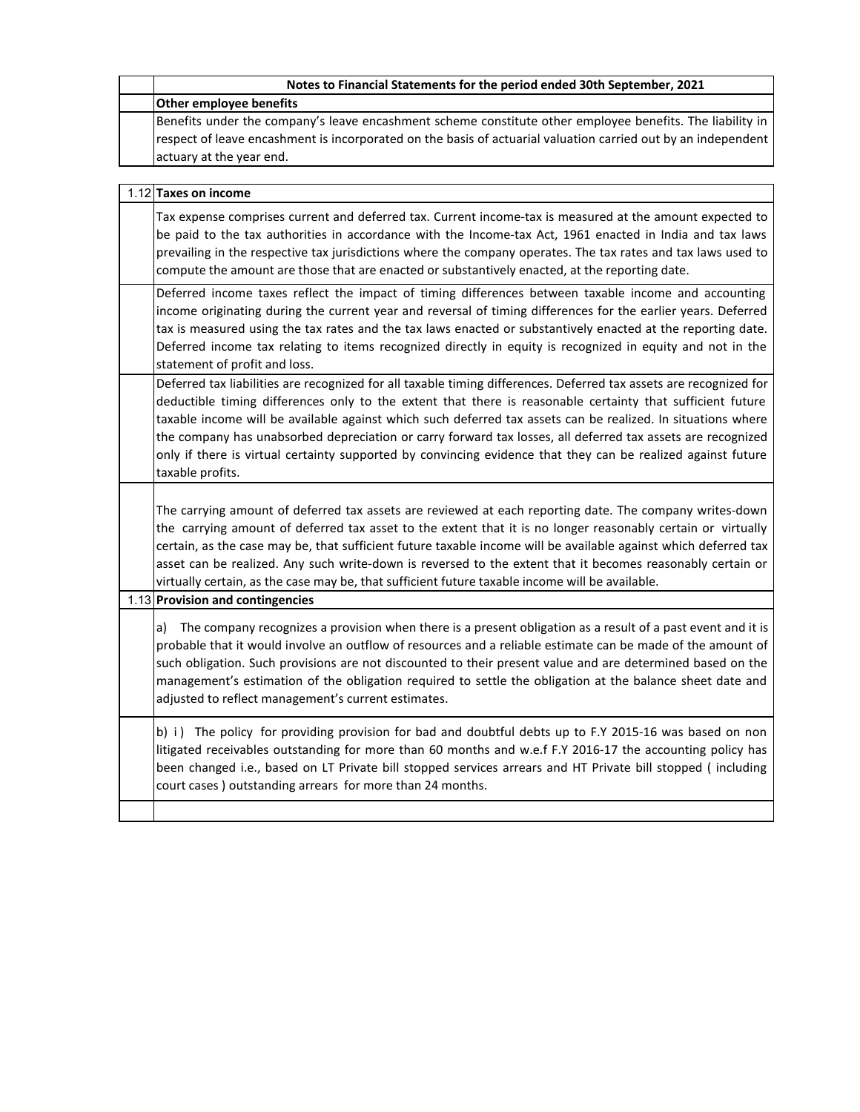| Notes to Financial Statements for the period ended 30th September, 2021                                                                                                                                                                                                                                                                                                                                                                                                                                                                                                                             |
|-----------------------------------------------------------------------------------------------------------------------------------------------------------------------------------------------------------------------------------------------------------------------------------------------------------------------------------------------------------------------------------------------------------------------------------------------------------------------------------------------------------------------------------------------------------------------------------------------------|
| <b>Other employee benefits</b>                                                                                                                                                                                                                                                                                                                                                                                                                                                                                                                                                                      |
| Benefits under the company's leave encashment scheme constitute other employee benefits. The liability in<br>respect of leave encashment is incorporated on the basis of actuarial valuation carried out by an independent<br>actuary at the year end.                                                                                                                                                                                                                                                                                                                                              |
| 1.12 Taxes on income                                                                                                                                                                                                                                                                                                                                                                                                                                                                                                                                                                                |
| Tax expense comprises current and deferred tax. Current income-tax is measured at the amount expected to<br>be paid to the tax authorities in accordance with the Income-tax Act, 1961 enacted in India and tax laws<br>prevailing in the respective tax jurisdictions where the company operates. The tax rates and tax laws used to<br>compute the amount are those that are enacted or substantively enacted, at the reporting date.                                                                                                                                                             |
| Deferred income taxes reflect the impact of timing differences between taxable income and accounting<br>income originating during the current year and reversal of timing differences for the earlier years. Deferred<br>tax is measured using the tax rates and the tax laws enacted or substantively enacted at the reporting date.<br>Deferred income tax relating to items recognized directly in equity is recognized in equity and not in the<br>statement of profit and loss.                                                                                                                |
| Deferred tax liabilities are recognized for all taxable timing differences. Deferred tax assets are recognized for<br>deductible timing differences only to the extent that there is reasonable certainty that sufficient future<br>taxable income will be available against which such deferred tax assets can be realized. In situations where<br>the company has unabsorbed depreciation or carry forward tax losses, all deferred tax assets are recognized<br>only if there is virtual certainty supported by convincing evidence that they can be realized against future<br>taxable profits. |
| The carrying amount of deferred tax assets are reviewed at each reporting date. The company writes-down<br>the carrying amount of deferred tax asset to the extent that it is no longer reasonably certain or virtually<br>certain, as the case may be, that sufficient future taxable income will be available against which deferred tax<br>asset can be realized. Any such write-down is reversed to the extent that it becomes reasonably certain or<br>virtually certain, as the case may be, that sufficient future taxable income will be available.                                         |
| 1.13 Provision and contingencies                                                                                                                                                                                                                                                                                                                                                                                                                                                                                                                                                                    |
| The company recognizes a provision when there is a present obligation as a result of a past event and it is<br>a)<br>probable that it would involve an outflow of resources and a reliable estimate can be made of the amount of<br>such obligation. Such provisions are not discounted to their present value and are determined based on the<br>management's estimation of the obligation required to settle the obligation at the balance sheet date and<br>adjusted to reflect management's current estimates.                                                                                  |
| b) i) The policy for providing provision for bad and doubtful debts up to F.Y 2015-16 was based on non<br>litigated receivables outstanding for more than 60 months and w.e.f F.Y 2016-17 the accounting policy has<br>been changed i.e., based on LT Private bill stopped services arrears and HT Private bill stopped (including<br>court cases) outstanding arrears for more than 24 months.                                                                                                                                                                                                     |
|                                                                                                                                                                                                                                                                                                                                                                                                                                                                                                                                                                                                     |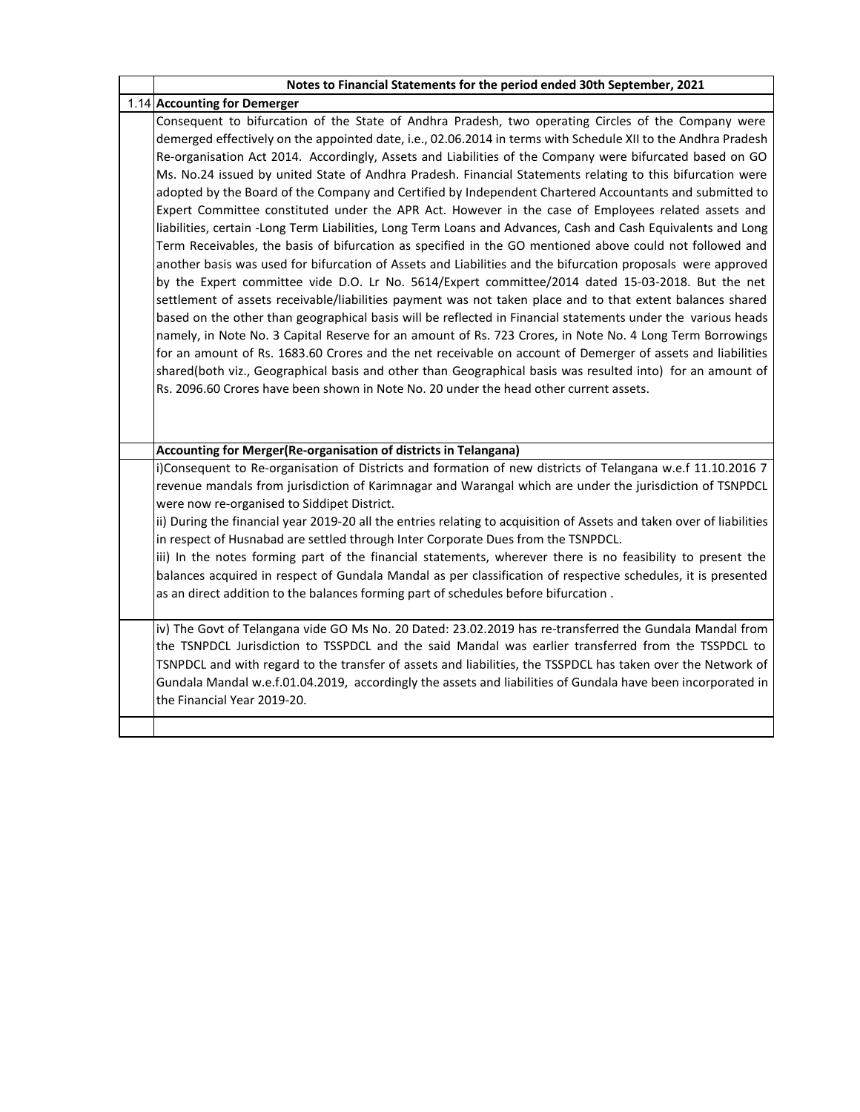| Notes to Financial Statements for the period ended 30th September, 2021                                                                                                                                                                                                                                                                                                                                                                                                                                                                                                                                                                                                                                                                                                                                                                                                                                                                                                                                                                                                                                                                                                                                                                                                                                                                                                                                                                                       |
|---------------------------------------------------------------------------------------------------------------------------------------------------------------------------------------------------------------------------------------------------------------------------------------------------------------------------------------------------------------------------------------------------------------------------------------------------------------------------------------------------------------------------------------------------------------------------------------------------------------------------------------------------------------------------------------------------------------------------------------------------------------------------------------------------------------------------------------------------------------------------------------------------------------------------------------------------------------------------------------------------------------------------------------------------------------------------------------------------------------------------------------------------------------------------------------------------------------------------------------------------------------------------------------------------------------------------------------------------------------------------------------------------------------------------------------------------------------|
| 1.14 Accounting for Demerger                                                                                                                                                                                                                                                                                                                                                                                                                                                                                                                                                                                                                                                                                                                                                                                                                                                                                                                                                                                                                                                                                                                                                                                                                                                                                                                                                                                                                                  |
| Consequent to bifurcation of the State of Andhra Pradesh, two operating Circles of the Company were<br>demerged effectively on the appointed date, i.e., 02.06.2014 in terms with Schedule XII to the Andhra Pradesh<br>Re-organisation Act 2014. Accordingly, Assets and Liabilities of the Company were bifurcated based on GO<br>Ms. No.24 issued by united State of Andhra Pradesh. Financial Statements relating to this bifurcation were<br>adopted by the Board of the Company and Certified by Independent Chartered Accountants and submitted to<br>Expert Committee constituted under the APR Act. However in the case of Employees related assets and<br>liabilities, certain -Long Term Liabilities, Long Term Loans and Advances, Cash and Cash Equivalents and Long<br>Term Receivables, the basis of bifurcation as specified in the GO mentioned above could not followed and<br>another basis was used for bifurcation of Assets and Liabilities and the bifurcation proposals were approved<br>by the Expert committee vide D.O. Lr No. 5614/Expert committee/2014 dated 15-03-2018. But the net<br>settlement of assets receivable/liabilities payment was not taken place and to that extent balances shared<br>based on the other than geographical basis will be reflected in Financial statements under the various heads<br>namely, in Note No. 3 Capital Reserve for an amount of Rs. 723 Crores, in Note No. 4 Long Term Borrowings |
| for an amount of Rs. 1683.60 Crores and the net receivable on account of Demerger of assets and liabilities<br>shared(both viz., Geographical basis and other than Geographical basis was resulted into) for an amount of<br>Rs. 2096.60 Crores have been shown in Note No. 20 under the head other current assets.                                                                                                                                                                                                                                                                                                                                                                                                                                                                                                                                                                                                                                                                                                                                                                                                                                                                                                                                                                                                                                                                                                                                           |
| Accounting for Merger(Re-organisation of districts in Telangana)                                                                                                                                                                                                                                                                                                                                                                                                                                                                                                                                                                                                                                                                                                                                                                                                                                                                                                                                                                                                                                                                                                                                                                                                                                                                                                                                                                                              |
| i)Consequent to Re-organisation of Districts and formation of new districts of Telangana w.e.f 11.10.2016 7<br>revenue mandals from jurisdiction of Karimnagar and Warangal which are under the jurisdiction of TSNPDCL<br>were now re-organised to Siddipet District.<br>ii) During the financial year 2019-20 all the entries relating to acquisition of Assets and taken over of liabilities<br>in respect of Husnabad are settled through Inter Corporate Dues from the TSNPDCL.                                                                                                                                                                                                                                                                                                                                                                                                                                                                                                                                                                                                                                                                                                                                                                                                                                                                                                                                                                          |
| iii) In the notes forming part of the financial statements, wherever there is no feasibility to present the<br>balances acquired in respect of Gundala Mandal as per classification of respective schedules, it is presented<br>as an direct addition to the balances forming part of schedules before bifurcation.                                                                                                                                                                                                                                                                                                                                                                                                                                                                                                                                                                                                                                                                                                                                                                                                                                                                                                                                                                                                                                                                                                                                           |
| iv) The Govt of Telangana vide GO Ms No. 20 Dated: 23.02.2019 has re-transferred the Gundala Mandal from<br>the TSNPDCL Jurisdiction to TSSPDCL and the said Mandal was earlier transferred from the TSSPDCL to<br>TSNPDCL and with regard to the transfer of assets and liabilities, the TSSPDCL has taken over the Network of<br>Gundala Mandal w.e.f.01.04.2019, accordingly the assets and liabilities of Gundala have been incorporated in<br>the Financial Year 2019-20.                                                                                                                                                                                                                                                                                                                                                                                                                                                                                                                                                                                                                                                                                                                                                                                                                                                                                                                                                                                |
|                                                                                                                                                                                                                                                                                                                                                                                                                                                                                                                                                                                                                                                                                                                                                                                                                                                                                                                                                                                                                                                                                                                                                                                                                                                                                                                                                                                                                                                               |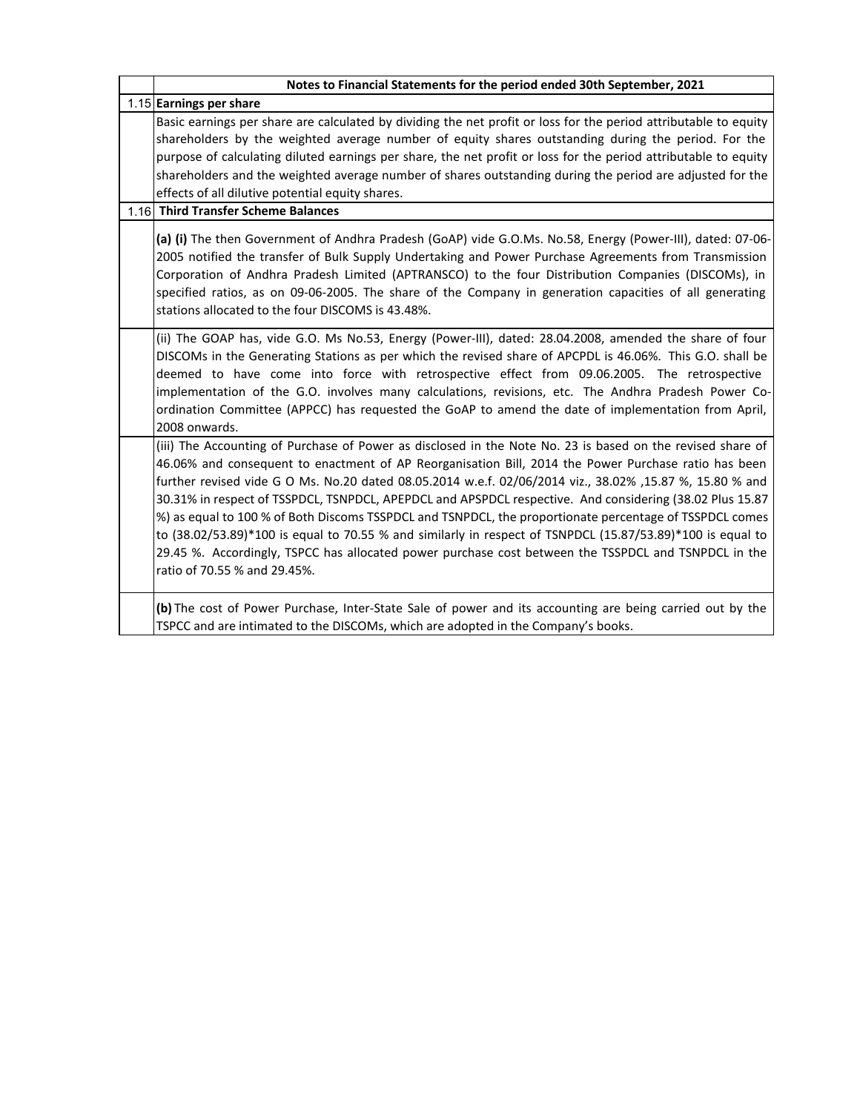| Notes to Financial Statements for the period ended 30th September, 2021                                                                                                                                                                                                                                                                                                                                                                                                                                                                                                                                                                                                                                                                                                                                     |  |  |
|-------------------------------------------------------------------------------------------------------------------------------------------------------------------------------------------------------------------------------------------------------------------------------------------------------------------------------------------------------------------------------------------------------------------------------------------------------------------------------------------------------------------------------------------------------------------------------------------------------------------------------------------------------------------------------------------------------------------------------------------------------------------------------------------------------------|--|--|
| 1.15 Earnings per share                                                                                                                                                                                                                                                                                                                                                                                                                                                                                                                                                                                                                                                                                                                                                                                     |  |  |
| Basic earnings per share are calculated by dividing the net profit or loss for the period attributable to equity<br>shareholders by the weighted average number of equity shares outstanding during the period. For the<br>purpose of calculating diluted earnings per share, the net profit or loss for the period attributable to equity<br>shareholders and the weighted average number of shares outstanding during the period are adjusted for the<br>effects of all dilutive potential equity shares.<br>1.16 Third Transfer Scheme Balances                                                                                                                                                                                                                                                          |  |  |
| (a) (i) The then Government of Andhra Pradesh (GoAP) vide G.O.Ms. No.58, Energy (Power-III), dated: 07-06-<br>2005 notified the transfer of Bulk Supply Undertaking and Power Purchase Agreements from Transmission<br>Corporation of Andhra Pradesh Limited (APTRANSCO) to the four Distribution Companies (DISCOMs), in<br>specified ratios, as on 09-06-2005. The share of the Company in generation capacities of all generating<br>stations allocated to the four DISCOMS is 43.48%.                                                                                                                                                                                                                                                                                                                   |  |  |
| (ii) The GOAP has, vide G.O. Ms No.53, Energy (Power-III), dated: 28.04.2008, amended the share of four<br>DISCOMs in the Generating Stations as per which the revised share of APCPDL is 46.06%. This G.O. shall be<br>deemed to have come into force with retrospective effect from 09.06.2005. The retrospective<br>implementation of the G.O. involves many calculations, revisions, etc. The Andhra Pradesh Power Co-<br>ordination Committee (APPCC) has requested the GoAP to amend the date of implementation from April,<br>2008 onwards.                                                                                                                                                                                                                                                          |  |  |
| (iii) The Accounting of Purchase of Power as disclosed in the Note No. 23 is based on the revised share of<br>46.06% and consequent to enactment of AP Reorganisation Bill, 2014 the Power Purchase ratio has been<br>further revised vide G O Ms. No.20 dated 08.05.2014 w.e.f. 02/06/2014 viz., 38.02% ,15.87 %, 15.80 % and<br>30.31% in respect of TSSPDCL, TSNPDCL, APEPDCL and APSPDCL respective. And considering (38.02 Plus 15.87<br>%) as equal to 100 % of Both Discoms TSSPDCL and TSNPDCL, the proportionate percentage of TSSPDCL comes<br>to (38.02/53.89)*100 is equal to 70.55 % and similarly in respect of TSNPDCL (15.87/53.89)*100 is equal to<br>29.45 %. Accordingly, TSPCC has allocated power purchase cost between the TSSPDCL and TSNPDCL in the<br>ratio of 70.55 % and 29.45%. |  |  |
| (b) The cost of Power Purchase, Inter-State Sale of power and its accounting are being carried out by the<br>TSPCC and are intimated to the DISCOMs, which are adopted in the Company's books.                                                                                                                                                                                                                                                                                                                                                                                                                                                                                                                                                                                                              |  |  |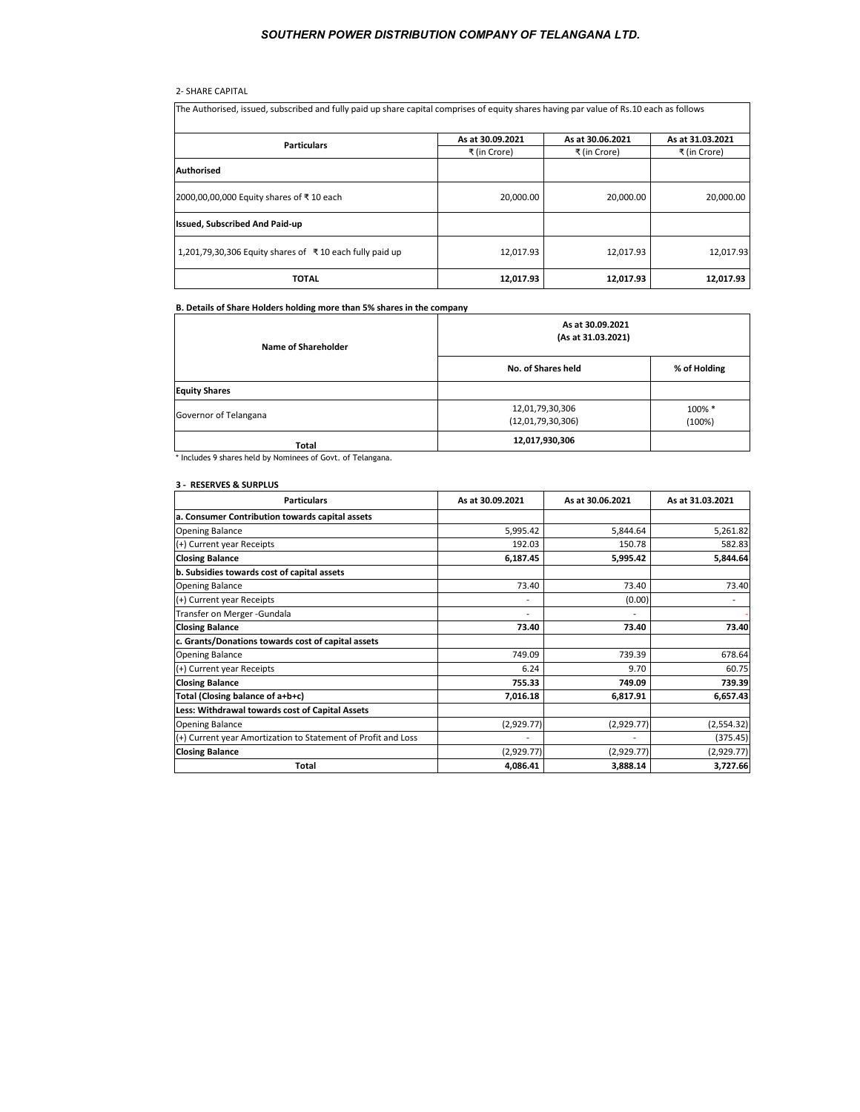# 2- SHARE CAPITAL

| The Authorised, issued, subscribed and fully paid up share capital comprises of equity shares having par value of Rs.10 each as follows |                  |                  |                  |
|-----------------------------------------------------------------------------------------------------------------------------------------|------------------|------------------|------------------|
| <b>Particulars</b>                                                                                                                      | As at 30.09.2021 | As at 30.06.2021 | As at 31.03.2021 |
|                                                                                                                                         | ₹ (in Crore)     | ₹ (in Crore)     | ₹ (in Crore)     |
| <b>Authorised</b>                                                                                                                       |                  |                  |                  |
| 2000,00,00,000 Equity shares of ₹10 each                                                                                                | 20,000.00        | 20,000.00        | 20,000.00        |
| <b>Issued, Subscribed And Paid-up</b>                                                                                                   |                  |                  |                  |
| 1,201,79,30,306 Equity shares of ₹10 each fully paid up                                                                                 | 12.017.93        | 12,017.93        | 12,017.93        |
| <b>TOTAL</b>                                                                                                                            | 12,017.93        | 12,017.93        | 12,017.93        |

# **B. Details of Share Holders holding more than 5% shares in the company**

| Name of Shareholder   | As at 30.09.2021<br>(As at 31.03.2021) |                  |  |
|-----------------------|----------------------------------------|------------------|--|
|                       | No. of Shares held                     | % of Holding     |  |
| <b>Equity Shares</b>  |                                        |                  |  |
| Governor of Telangana | 12,01,79,30,306<br>(12,01,79,30,306)   | 100% *<br>(100%) |  |
| Total                 | 12,017,930,306                         |                  |  |

**Total** \* Includes 9 shares held by Nominees of Govt. of Telangana.

#### **3 - RESERVES & SURPLUS**

| <b>Particulars</b>                                            | As at 30.09.2021         | As at 30.06.2021 | As at 31.03.2021 |
|---------------------------------------------------------------|--------------------------|------------------|------------------|
| a. Consumer Contribution towards capital assets               |                          |                  |                  |
| <b>Opening Balance</b>                                        | 5,995.42                 | 5,844.64         | 5,261.82         |
| (+) Current year Receipts                                     | 192.03                   | 150.78           | 582.83           |
| <b>Closing Balance</b>                                        | 6,187.45                 | 5,995.42         | 5,844.64         |
| b. Subsidies towards cost of capital assets                   |                          |                  |                  |
| <b>Opening Balance</b>                                        | 73.40                    | 73.40            | 73.40            |
| (+) Current year Receipts                                     |                          | (0.00)           |                  |
| Transfer on Merger - Gundala                                  | $\overline{\phantom{0}}$ |                  |                  |
| <b>Closing Balance</b>                                        | 73.40                    | 73.40            | 73.40            |
| c. Grants/Donations towards cost of capital assets            |                          |                  |                  |
| <b>Opening Balance</b>                                        | 749.09                   | 739.39           | 678.64           |
| (+) Current year Receipts                                     | 6.24                     | 9.70             | 60.75            |
| <b>Closing Balance</b>                                        | 755.33                   | 749.09           | 739.39           |
| Total (Closing balance of a+b+c)                              | 7,016.18                 | 6,817.91         | 6,657.43         |
| Less: Withdrawal towards cost of Capital Assets               |                          |                  |                  |
| <b>Opening Balance</b>                                        | (2,929.77)               | (2,929.77)       | (2,554.32)       |
| (+) Current year Amortization to Statement of Profit and Loss |                          |                  | (375.45)         |
| <b>Closing Balance</b>                                        | (2,929.77)               | (2,929.77)       | (2,929.77)       |
| Total                                                         | 4,086.41                 | 3,888.14         | 3,727.66         |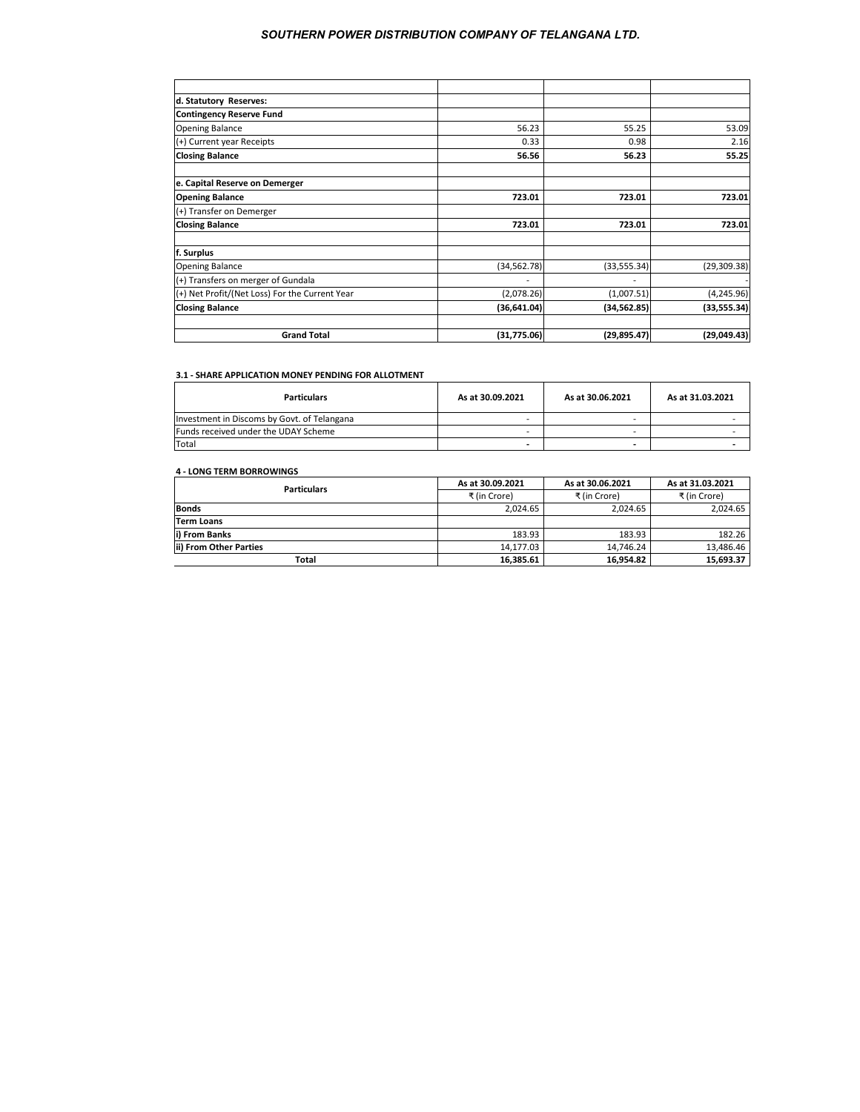| d. Statutory Reserves:                         |              |              |              |
|------------------------------------------------|--------------|--------------|--------------|
| <b>Contingency Reserve Fund</b>                |              |              |              |
| <b>Opening Balance</b>                         | 56.23        | 55.25        | 53.09        |
| (+) Current year Receipts                      | 0.33         | 0.98         | 2.16         |
| <b>Closing Balance</b>                         | 56.56        | 56.23        | 55.25        |
| e. Capital Reserve on Demerger                 |              |              |              |
| <b>Opening Balance</b>                         | 723.01       | 723.01       | 723.01       |
| (+) Transfer on Demerger                       |              |              |              |
| <b>Closing Balance</b>                         | 723.01       | 723.01       | 723.01       |
| f. Surplus                                     |              |              |              |
| <b>Opening Balance</b>                         | (34, 562.78) | (33, 555.34) | (29, 309.38) |
| (+) Transfers on merger of Gundala             |              |              |              |
| (+) Net Profit/(Net Loss) For the Current Year | (2,078.26)   | (1,007.51)   | (4, 245.96)  |
| <b>Closing Balance</b>                         | (36, 641.04) | (34, 562.85) | (33, 555.34) |
| <b>Grand Total</b>                             | (31,775.06)  | (29, 895.47) | (29,049.43)  |

#### **3.1 - SHARE APPLICATION MONEY PENDING FOR ALLOTMENT**

| <b>Particulars</b>                          | As at 30.09.2021 | As at 30.06.2021 | As at 31.03.2021 |
|---------------------------------------------|------------------|------------------|------------------|
| Investment in Discoms by Govt. of Telangana |                  |                  |                  |
| Funds received under the UDAY Scheme        |                  |                  |                  |
| <b>Total</b>                                |                  |                  |                  |

# **4 - LONG TERM BORROWINGS**

| <b>Particulars</b>     | As at 30.09.2021 | As at 30.06.2021 | As at 31.03.2021 |
|------------------------|------------------|------------------|------------------|
|                        | ₹ (in Crore)     | ₹ (in Crore)     | ₹ (in Crore)     |
| <b>Bonds</b>           | 2.024.65         | 2.024.65         | 2.024.65         |
| <b>Term Loans</b>      |                  |                  |                  |
| i) From Banks          | 183.93           | 183.93           | 182.26           |
| ii) From Other Parties | 14.177.03        | 14.746.24        | 13.486.46        |
| Total                  | 16,385.61        | 16.954.82        | 15,693.37        |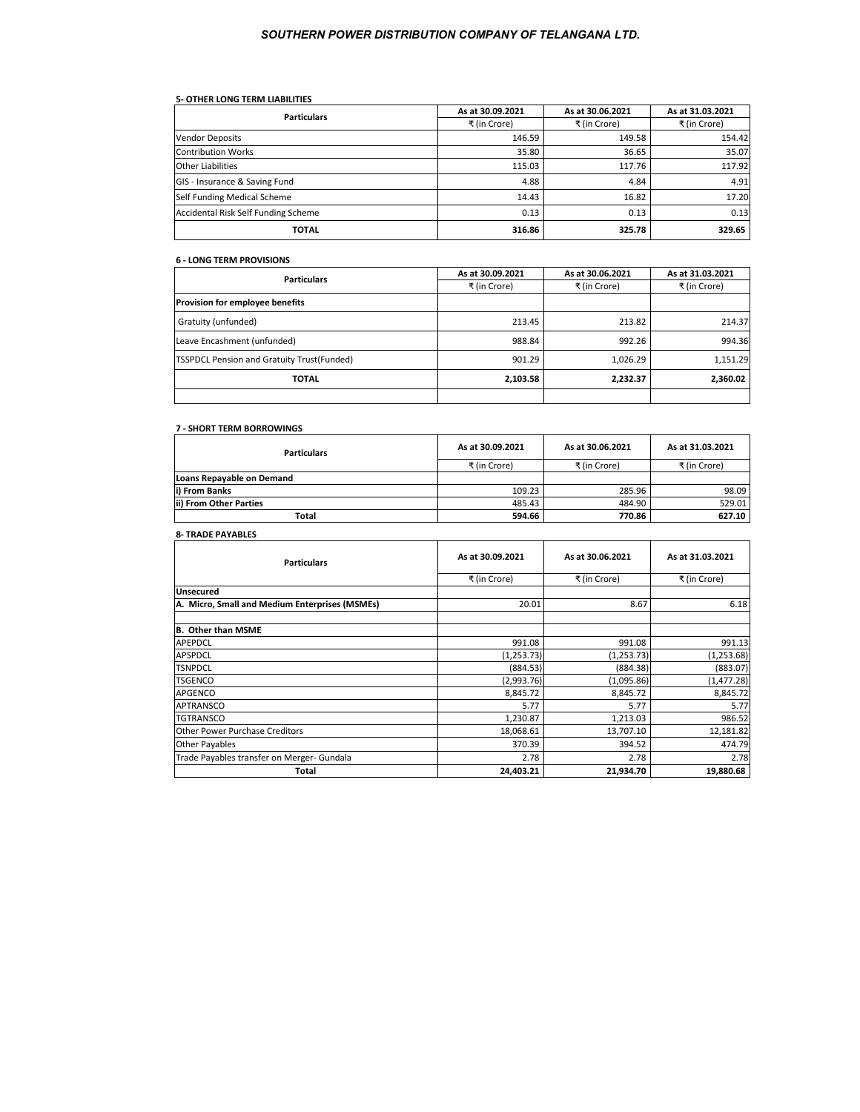# **5- OTHER LONG TERM LIABILITIES**

| <b>Particulars</b>                  | As at 30.09.2021 | As at 30.06.2021 | As at 31.03.2021 |
|-------------------------------------|------------------|------------------|------------------|
|                                     | ₹ (in Crore)     | ₹ (in Crore)     | ₹ (in Crore)     |
| <b>Vendor Deposits</b>              | 146.59           | 149.58           | 154.42           |
| <b>Contribution Works</b>           | 35.80            | 36.65            | 35.07            |
| <b>Other Liabilities</b>            | 115.03           | 117.76           | 117.92           |
| GIS - Insurance & Saving Fund       | 4.88             | 4.84             | 4.91             |
| Self Funding Medical Scheme         | 14.43            | 16.82            | 17.20            |
| Accidental Risk Self Funding Scheme | 0.13             | 0.13             | 0.13             |
| <b>TOTAL</b>                        | 316.86           | 325.78           | 329.65           |

#### **6 - LONG TERM PROVISIONS**

| <b>Particulars</b>                         | As at 30.09.2021 | As at 30.06.2021 | As at 31.03.2021 |
|--------------------------------------------|------------------|------------------|------------------|
|                                            | ₹ (in Crore)     | ₹ (in Crore)     | ₹ (in Crore)     |
| Provision for employee benefits            |                  |                  |                  |
| Gratuity (unfunded)                        | 213.45           | 213.82           | 214.37           |
| Leave Encashment (unfunded)                | 988.84           | 992.26           | 994.36           |
| TSSPDCL Pension and Gratuity Trust(Funded) | 901.29           | 1,026.29         | 1,151.29         |
| <b>TOTAL</b>                               | 2,103.58         | 2,232.37         | 2,360.02         |
|                                            |                  |                  |                  |

#### **7 - SHORT TERM BORROWINGS**

| <b>Particulars</b>        | As at 30.09.2021 | As at 30.06.2021 | As at 31.03.2021 |
|---------------------------|------------------|------------------|------------------|
|                           | ₹ (in Crore)     | ₹ (in Crore)     | ₹ (in Crore)     |
| Loans Repayable on Demand |                  |                  |                  |
| i) From Banks             | 109.23           | 285.96           | 98.09            |
| ii) From Other Parties    | 485.43           | 484.90           | 529.01           |
| Total                     | 594.66           | 770.86           | 627.10           |

| <b>8- TRADE PAYABLES</b>                       |                  |                  |                  |
|------------------------------------------------|------------------|------------------|------------------|
| <b>Particulars</b>                             | As at 30.09.2021 | As at 30.06.2021 | As at 31.03.2021 |
|                                                | ₹ (in Crore)     | ₹ (in Crore)     | ₹ (in Crore)     |
| <b>Unsecured</b>                               |                  |                  |                  |
| A. Micro, Small and Medium Enterprises (MSMEs) | 20.01            | 8.67             | 6.18             |
| B. Other than MSME                             |                  |                  |                  |
| <b>APEPDCL</b>                                 | 991.08           | 991.08           | 991.13           |
| <b>APSPDCL</b>                                 | (1, 253.73)      | (1, 253.73)      | (1,253.68)       |
| <b>TSNPDCL</b>                                 | (884.53)         | (884.38)         | (883.07)         |
| <b>TSGENCO</b>                                 | (2,993.76)       | (1,095.86)       | (1, 477.28)      |
| <b>APGENCO</b>                                 | 8,845.72         | 8,845.72         | 8,845.72         |
| <b>APTRANSCO</b>                               | 5.77             | 5.77             | 5.77             |
| <b>TGTRANSCO</b>                               | 1,230.87         | 1,213.03         | 986.52           |
| <b>Other Power Purchase Creditors</b>          | 18,068.61        | 13,707.10        | 12,181.82        |
| <b>Other Payables</b>                          | 370.39           | 394.52           | 474.79           |
| Trade Payables transfer on Merger- Gundala     | 2.78             | 2.78             | 2.78             |
| Total                                          | 24,403.21        | 21,934.70        | 19,880.68        |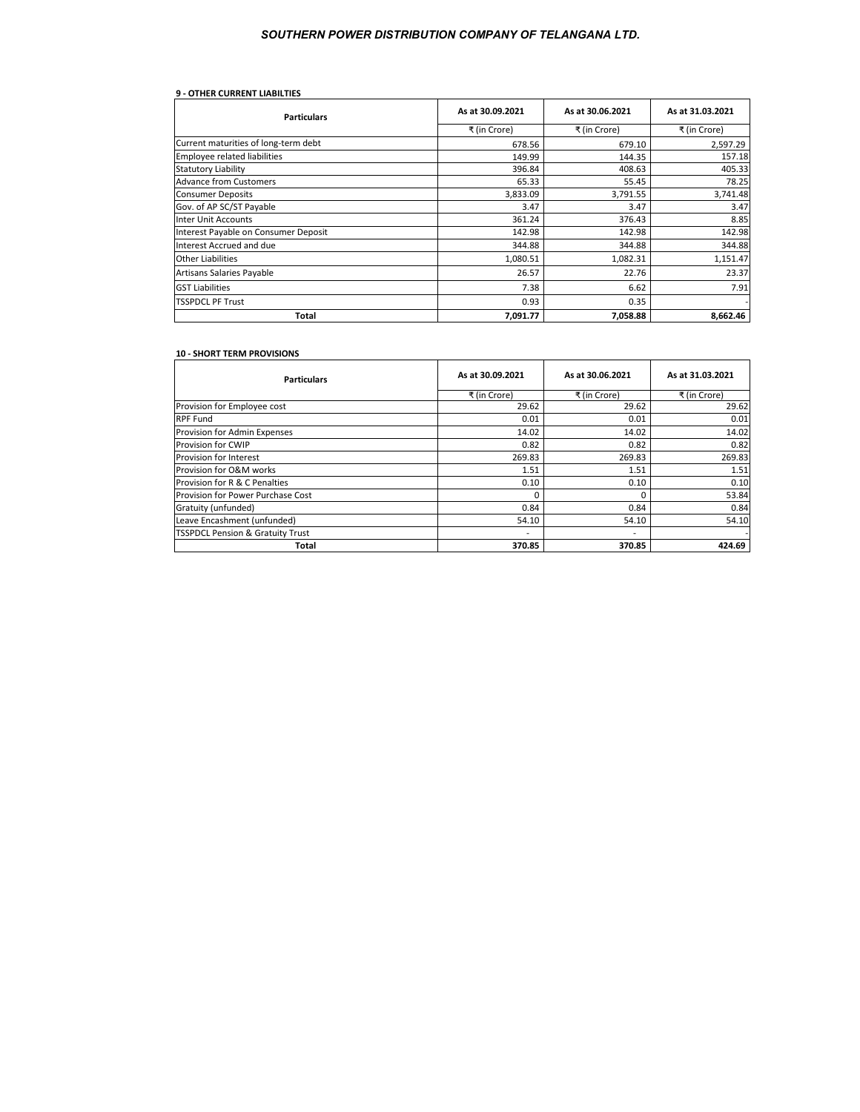| <b>9 - OTHER CURRENT LIABILTIES</b>  |                  |                  |                  |
|--------------------------------------|------------------|------------------|------------------|
| <b>Particulars</b>                   | As at 30.09.2021 | As at 30.06.2021 | As at 31.03.2021 |
|                                      | ₹ (in Crore)     | ₹ (in Crore)     | ₹ (in Crore)     |
| Current maturities of long-term debt | 678.56           | 679.10           | 2,597.29         |
| <b>Employee related liabilities</b>  | 149.99           | 144.35           | 157.18           |
| <b>Statutory Liability</b>           | 396.84           | 408.63           | 405.33           |
| <b>Advance from Customers</b>        | 65.33            | 55.45            | 78.25            |
| <b>Consumer Deposits</b>             | 3,833.09         | 3,791.55         | 3,741.48         |
| Gov. of AP SC/ST Payable             | 3.47             | 3.47             | 3.47             |
| <b>Inter Unit Accounts</b>           | 361.24           | 376.43           | 8.85             |
| Interest Payable on Consumer Deposit | 142.98           | 142.98           | 142.98           |
| Interest Accrued and due             | 344.88           | 344.88           | 344.88           |
| <b>Other Liabilities</b>             | 1,080.51         | 1,082.31         | 1,151.47         |
| Artisans Salaries Payable            | 26.57            | 22.76            | 23.37            |
| <b>GST Liabilities</b>               | 7.38             | 6.62             | 7.91             |
| <b>TSSPDCL PF Trust</b>              | 0.93             | 0.35             |                  |
| Total                                | 7,091.77         | 7,058.88         | 8,662.46         |

# **10 - SHORT TERM PROVISIONS**

| <b>Particulars</b>                          | As at 30.09.2021         | As at 30.06.2021         | As at 31.03.2021 |
|---------------------------------------------|--------------------------|--------------------------|------------------|
|                                             | ₹ (in Crore)             | ₹ (in Crore)             | ₹ (in Crore)     |
| Provision for Employee cost                 | 29.62                    | 29.62                    | 29.62            |
| <b>RPF Fund</b>                             | 0.01                     | 0.01                     | 0.01             |
| Provision for Admin Expenses                | 14.02                    | 14.02                    | 14.02            |
| <b>Provision for CWIP</b>                   | 0.82                     | 0.82                     | 0.82             |
| <b>Provision for Interest</b>               | 269.83                   | 269.83                   | 269.83           |
| Provision for O&M works                     | 1.51                     | 1.51                     | 1.51             |
| Provision for R & C Penalties               | 0.10                     | 0.10                     | 0.10             |
| Provision for Power Purchase Cost           |                          |                          | 53.84            |
| Gratuity (unfunded)                         | 0.84                     | 0.84                     | 0.84             |
| Leave Encashment (unfunded)                 | 54.10                    | 54.10                    | 54.10            |
| <b>TSSPDCL Pension &amp; Gratuity Trust</b> | $\overline{\phantom{a}}$ | $\overline{\phantom{a}}$ |                  |
| Total                                       | 370.85                   | 370.85                   | 424.69           |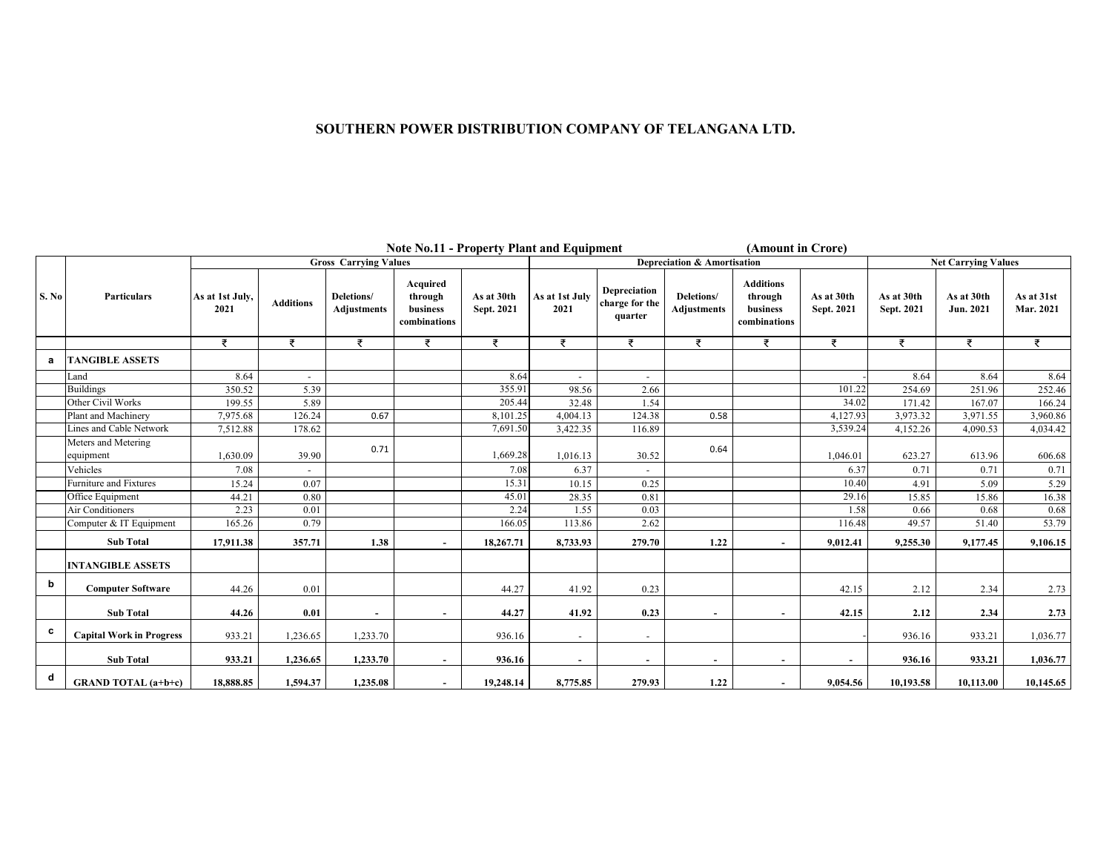|       | <b>Note No.11 - Property Plant and Equipment</b><br>(Amount in Crore) |                         |                          |                                  |                                                 |                          |                          |                                           |                                  |                                                         |                          |                            |                         |                         |
|-------|-----------------------------------------------------------------------|-------------------------|--------------------------|----------------------------------|-------------------------------------------------|--------------------------|--------------------------|-------------------------------------------|----------------------------------|---------------------------------------------------------|--------------------------|----------------------------|-------------------------|-------------------------|
|       |                                                                       |                         |                          | <b>Gross Carrying Values</b>     |                                                 |                          |                          | Depreciation & Amortisation               |                                  |                                                         |                          | <b>Net Carrying Values</b> |                         |                         |
| S. No | Particulars                                                           | As at 1st July,<br>2021 | <b>Additions</b>         | Deletions/<br><b>Adjustments</b> | Acquired<br>through<br>business<br>combinations | As at 30th<br>Sept. 2021 | As at 1st July<br>2021   | Depreciation<br>charge for the<br>quarter | Deletions/<br><b>Adjustments</b> | <b>Additions</b><br>through<br>business<br>combinations | As at 30th<br>Sept. 2021 | As at 30th<br>Sept. 2021   | As at 30th<br>Jun. 2021 | As at 31st<br>Mar. 2021 |
|       |                                                                       | ₹                       | ₹                        | ₹                                | ₹                                               | ₹                        | $\overline{z}$           | ₹                                         | ₹                                | ₹                                                       | ₹                        | ₹                          | ₹                       | ₹                       |
| а     | <b>TANGIBLE ASSETS</b>                                                |                         |                          |                                  |                                                 |                          |                          |                                           |                                  |                                                         |                          |                            |                         |                         |
|       | Land                                                                  | 8.64                    | $\sim$                   |                                  |                                                 | 8.64                     | $\sim$                   | $\overline{\phantom{a}}$                  |                                  |                                                         |                          | 8.64                       | 8.64                    | 8.64                    |
|       | <b>Buildings</b>                                                      | 350.52                  | 5.39                     |                                  |                                                 | 355.91                   | 98.56                    | 2.66                                      |                                  |                                                         | 101.22                   | 254.69                     | 251.96                  | 252.46                  |
|       | Other Civil Works                                                     | 199.55                  | 5.89                     |                                  |                                                 | 205.44                   | 32.48                    | 1.54                                      |                                  |                                                         | 34.02                    | 171.42                     | 167.07                  | 166.24                  |
|       | Plant and Machinery                                                   | 7,975.68                | 126.24                   | 0.67                             |                                                 | 8,101.25                 | 4,004.13                 | 124.38                                    | 0.58                             |                                                         | 4,127.93                 | 3,973.32                   | 3,971.55                | 3,960.86                |
|       | Lines and Cable Network                                               | 7,512.88                | 178.62                   |                                  |                                                 | 7,691.50                 | 3,422.35                 | 116.89                                    |                                  |                                                         | 3,539.24                 | 4,152.26                   | 4,090.53                | 4,034.42                |
|       | Meters and Metering<br>equipment                                      | 1,630.09                | 39.90                    | 0.71                             |                                                 | 1,669.28                 | 1,016.13                 | 30.52                                     | 0.64                             |                                                         | 1,046.01                 | 623.27                     | 613.96                  | 606.68                  |
|       | Vehicles                                                              | 7.08                    | $\overline{\phantom{a}}$ |                                  |                                                 | 7.08                     | 6.37                     |                                           |                                  |                                                         | 6.37                     | 0.71                       | 0.71                    | 0.71                    |
|       | Furniture and Fixtures                                                | 15.24                   | 0.07                     |                                  |                                                 | 15.31                    | 10.15                    | 0.25                                      |                                  |                                                         | 10.40                    | 4.91                       | 5.09                    | 5.29                    |
|       | Office Equipment                                                      | 44.21                   | 0.80                     |                                  |                                                 | 45.01                    | 28.35                    | 0.81                                      |                                  |                                                         | 29.16                    | 15.85                      | 15.86                   | 16.38                   |
|       | <b>Air Conditioners</b>                                               | 2.23                    | 0.01                     |                                  |                                                 | 2.24                     | 1.55                     | 0.03                                      |                                  |                                                         | 1.58                     | 0.66                       | 0.68                    | 0.68                    |
|       | Computer & IT Equipment                                               | 165.26                  | 0.79                     |                                  |                                                 | 166.05                   | 113.86                   | 2.62                                      |                                  |                                                         | 116.48                   | 49.57                      | 51.40                   | 53.79                   |
|       | <b>Sub Total</b>                                                      | 17,911.38               | 357.71                   | 1.38                             |                                                 | 18,267.71                | 8,733.93                 | 279.70                                    | 1.22                             |                                                         | 9,012.41                 | 9,255.30                   | 9,177.45                | 9,106.15                |
|       | <b>INTANGIBLE ASSETS</b>                                              |                         |                          |                                  |                                                 |                          |                          |                                           |                                  |                                                         |                          |                            |                         |                         |
| b     | <b>Computer Software</b>                                              | 44.26                   | 0.01                     |                                  |                                                 | 44.27                    | 41.92                    | 0.23                                      |                                  |                                                         | 42.15                    | 2.12                       | 2.34                    | 2.73                    |
|       | <b>Sub Total</b>                                                      | 44.26                   | 0.01                     |                                  |                                                 | 44.27                    | 41.92                    | 0.23                                      | $\sim$                           |                                                         | 42.15                    | 2.12                       | 2.34                    | 2.73                    |
| c     | <b>Capital Work in Progress</b>                                       | 933.21                  | 1,236.65                 | 1,233.70                         |                                                 | 936.16                   |                          | $\overline{\phantom{a}}$                  |                                  |                                                         |                          | 936.16                     | 933.21                  | 1,036.77                |
|       | <b>Sub Total</b>                                                      | 933.21                  | 1,236.65                 | 1,233.70                         |                                                 | 936.16                   | $\overline{\phantom{a}}$ | $\overline{\phantom{a}}$                  | $\sim$                           |                                                         |                          | 936.16                     | 933.21                  | 1,036.77                |
| d     | <b>GRAND TOTAL</b> (a+b+c)                                            | 18,888.85               | 1,594.37                 | 1,235.08                         |                                                 | 19,248.14                | 8,775.85                 | 279.93                                    | 1.22                             |                                                         | 9,054.56                 | 10,193.58                  | 10,113.00               | 10,145.65               |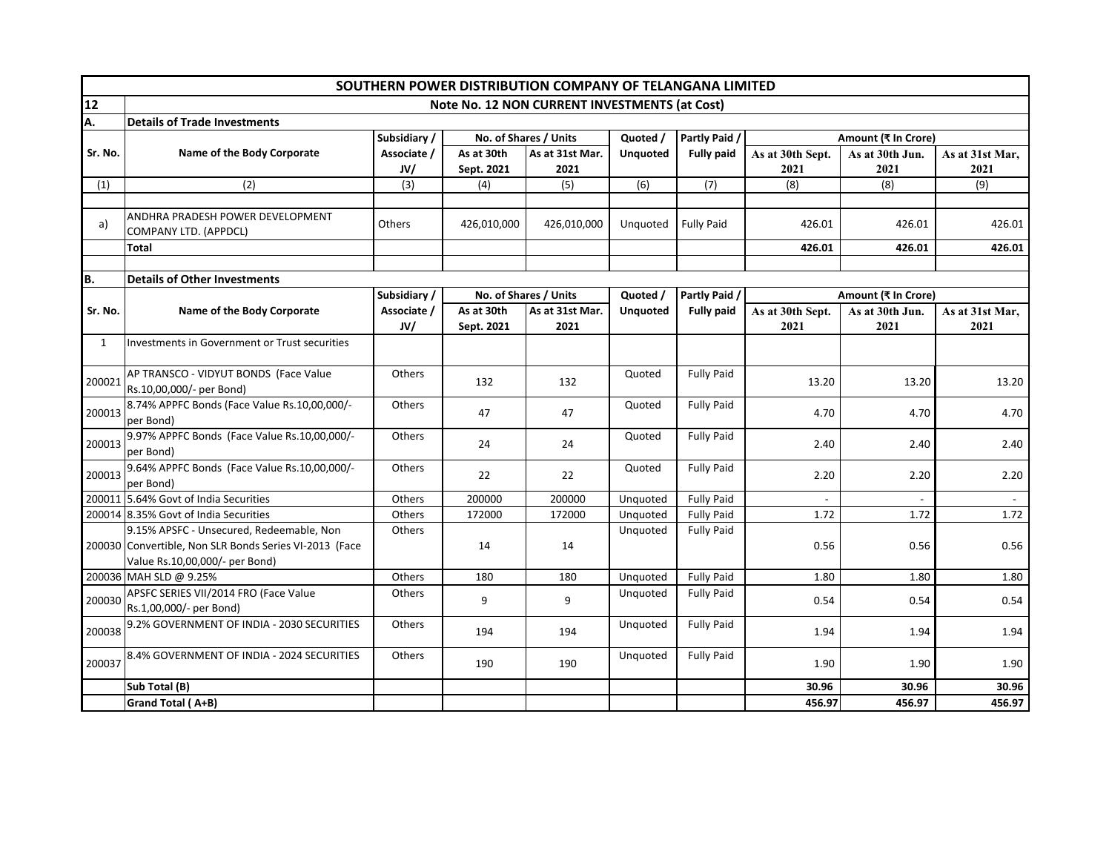|              | SOUTHERN POWER DISTRIBUTION COMPANY OF TELANGANA LIMITED  |              |             |                       |                      |                   |                  |                     |                 |
|--------------|-----------------------------------------------------------|--------------|-------------|-----------------------|----------------------|-------------------|------------------|---------------------|-----------------|
| 12           | Note No. 12 NON CURRENT INVESTMENTS (at Cost)             |              |             |                       |                      |                   |                  |                     |                 |
| A.           | <b>Details of Trade Investments</b>                       |              |             |                       |                      |                   |                  |                     |                 |
|              |                                                           | Subsidiary / |             | No. of Shares / Units | Quoted /             | Partly Paid /     |                  | Amount (₹ In Crore) |                 |
| Sr. No.      | Name of the Body Corporate                                | Associate /  | As at 30th  | As at 31st Mar.       | <b>Unquoted</b>      | <b>Fully paid</b> | As at 30th Sept. | As at 30th Jun.     | As at 31st Mar, |
|              |                                                           | JV/          | Sept. 2021  | 2021                  |                      |                   | 2021             | 2021                | 2021            |
| (1)          | (2)                                                       | (3)          | (4)         | (5)                   | (6)                  | (7)               | (8)              | (8)                 | (9)             |
|              | ANDHRA PRADESH POWER DEVELOPMENT                          |              |             |                       |                      |                   |                  |                     |                 |
| a)           | COMPANY LTD. (APPDCL)                                     | Others       | 426,010,000 | 426,010,000           | Unquoted             | <b>Fully Paid</b> | 426.01           | 426.01              | 426.01          |
|              | Total                                                     |              |             |                       |                      |                   | 426.01           | 426.01              | 426.01          |
|              |                                                           |              |             |                       |                      |                   |                  |                     |                 |
| B.           | <b>Details of Other Investments</b>                       |              |             |                       |                      |                   |                  |                     |                 |
|              |                                                           | Subsidiary / |             | No. of Shares / Units | Quoted /             | Partly Paid /     |                  | Amount (₹ In Crore) |                 |
| Sr. No.      | Name of the Body Corporate                                | Associate /  | As at 30th  | As at 31st Mar.       | <b>Unquoted</b>      | <b>Fully paid</b> | As at 30th Sept. | As at 30th Jun.     | As at 31st Mar, |
|              |                                                           | JV/          | Sept. 2021  | 2021                  |                      |                   | 2021             | 2021                | 2021            |
| $\mathbf{1}$ | Investments in Government or Trust securities             |              |             |                       |                      |                   |                  |                     |                 |
| 200021       | AP TRANSCO - VIDYUT BONDS (Face Value                     | Others       | 132         | 132                   | Quoted               | <b>Fully Paid</b> | 13.20            | 13.20               | 13.20           |
|              | Rs.10,00,000/- per Bond)                                  |              |             |                       |                      |                   |                  |                     |                 |
| 200013       | 8.74% APPFC Bonds (Face Value Rs.10,00,000/-<br>per Bond) | Others       | 47          | 47                    | Quoted               | <b>Fully Paid</b> | 4.70             | 4.70                | 4.70            |
| 200013       | 9.97% APPFC Bonds (Face Value Rs.10,00,000/-              | Others       | 24          | 24                    | Quoted               | <b>Fully Paid</b> | 2.40             | 2.40                | 2.40            |
|              | per Bond)                                                 |              |             |                       |                      |                   |                  |                     |                 |
| 200013       | 9.64% APPFC Bonds (Face Value Rs.10,00,000/-              | Others       | 22          | 22                    | Quoted               | <b>Fully Paid</b> | 2.20             | 2.20                | 2.20            |
|              | per Bond)<br>200011 5.64% Govt of India Securities        | Others       | 200000      | 200000                |                      | <b>Fully Paid</b> |                  |                     |                 |
|              | 200014 8.35% Govt of India Securities                     | Others       | 172000      | 172000                | Unquoted<br>Unquoted | <b>Fully Paid</b> | 1.72             | 1.72                | 1.72            |
|              | 9.15% APSFC - Unsecured, Redeemable, Non                  | Others       |             |                       | Unquoted             | <b>Fully Paid</b> |                  |                     |                 |
|              | 200030 Convertible, Non SLR Bonds Series VI-2013 (Face    |              | 14          | 14                    |                      |                   | 0.56             | 0.56                | 0.56            |
|              | Value Rs.10,00,000/- per Bond)                            |              |             |                       |                      |                   |                  |                     |                 |
|              | 200036 MAH SLD @ 9.25%                                    | Others       | 180         | 180                   | Unquoted             | <b>Fully Paid</b> | 1.80             | 1.80                | 1.80            |
|              | APSFC SERIES VII/2014 FRO (Face Value                     | Others       |             |                       | Unquoted             | <b>Fully Paid</b> |                  |                     |                 |
| 200030       | Rs.1,00,000/- per Bond)                                   |              | 9           | 9                     |                      |                   | 0.54             | 0.54                | 0.54            |
| 200038       | 9.2% GOVERNMENT OF INDIA - 2030 SECURITIES                | Others       | 194         | 194                   | Unquoted             | <b>Fully Paid</b> | 1.94             | 1.94                | 1.94            |
| 200037       | 8.4% GOVERNMENT OF INDIA - 2024 SECURITIES                | Others       | 190         | 190                   | Unquoted             | <b>Fully Paid</b> | 1.90             | 1.90                | 1.90            |
|              | Sub Total (B)                                             |              |             |                       |                      |                   | 30.96            | 30.96               | 30.96           |
|              | Grand Total (A+B)                                         |              |             |                       |                      |                   | 456.97           | 456.97              | 456.97          |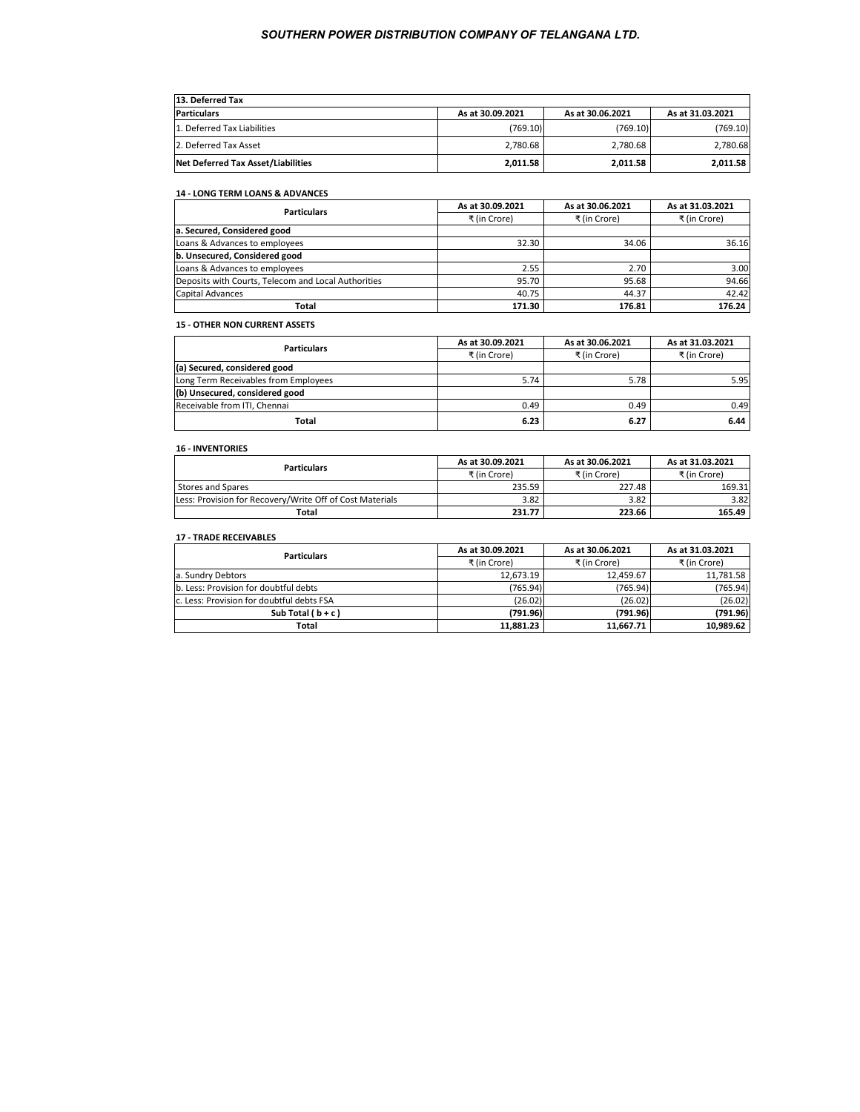| 13. Deferred Tax                   |                  |                  |                  |  |  |
|------------------------------------|------------------|------------------|------------------|--|--|
| <b>Particulars</b>                 | As at 30.09.2021 | As at 30.06.2021 | As at 31.03.2021 |  |  |
| 1. Deferred Tax Liabilities        | (769.10)         | (769.10)         | (769.10)         |  |  |
| 2. Deferred Tax Asset              | 2.780.68         | 2.780.68         | 2.780.68         |  |  |
| Net Deferred Tax Asset/Liabilities | 2,011.58         | 2,011.58         | 2.011.58         |  |  |

### **14 - LONG TERM LOANS & ADVANCES**

| <b>Particulars</b>                                  | As at 30.09.2021 | As at 30.06.2021 | As at 31.03.2021 |
|-----------------------------------------------------|------------------|------------------|------------------|
|                                                     | ₹ (in Crore)     | ₹ (in Crore)     | ₹ (in Crore)     |
| a. Secured, Considered good                         |                  |                  |                  |
| Loans & Advances to employees                       | 32.30            | 34.06            | 36.16            |
| b. Unsecured, Considered good                       |                  |                  |                  |
| Loans & Advances to employees                       | 2.55             | 2.70             | 3.00             |
| Deposits with Courts, Telecom and Local Authorities | 95.70            | 95.68            | 94.66            |
| Capital Advances                                    | 40.75            | 44.37            | 42.42            |
| Total                                               | 171.30           | 176.81           | 176.24           |

# **15 - OTHER NON CURRENT ASSETS**

| <b>Particulars</b>                   | As at 30.09.2021 | As at 30.06.2021 | As at 31.03.2021 |
|--------------------------------------|------------------|------------------|------------------|
|                                      | ₹ (in Crore)     | ₹ (in Crore)     | ₹ (in Crore)     |
| (a) Secured, considered good         |                  |                  |                  |
| Long Term Receivables from Employees | 5.74             | 5.78             | 5.95             |
| (b) Unsecured, considered good       |                  |                  |                  |
| Receivable from ITI, Chennai         | 0.49             | 0.49             | 0.49             |
| Total                                | 6.23             | 6.27             | 6.44             |

# **16 - INVENTORIES**

| <b>Particulars</b>                                       | As at 30.09.2021 | As at 30.06.2021 | As at 31.03.2021 |
|----------------------------------------------------------|------------------|------------------|------------------|
|                                                          | ₹ (in Crore)     | ₹ (in Crore)     | ₹ (in Crore)     |
| Stores and Spares                                        | 235.59           | 227.48           | 169.31           |
| Less: Provision for Recovery/Write Off of Cost Materials | 3.82             | 3.82             | 3.82             |
| Total                                                    | 231.77           | 223.66           | 165.49           |

#### **17 - TRADE RECEIVABLES**

| <b>Particulars</b>                        | As at 30.09.2021 | As at 30.06.2021 | As at 31.03.2021 |
|-------------------------------------------|------------------|------------------|------------------|
|                                           | ₹ (in Crore)     | ₹ (in Crore)     | ₹ (in Crore)     |
| a. Sundry Debtors                         | 12.673.19        | 12.459.67        | 11.781.58        |
| b. Less: Provision for doubtful debts     | (765.94)         | (765.94)         | (765.94)         |
| c. Less: Provision for doubtful debts FSA | (26.02)          | (26.02)          | (26.02)          |
| Sub Total $(b+c)$                         | (791.96)         | (791.96)         | (791.96)         |
| Total                                     | 11.881.23        | 11.667.71        | 10.989.62        |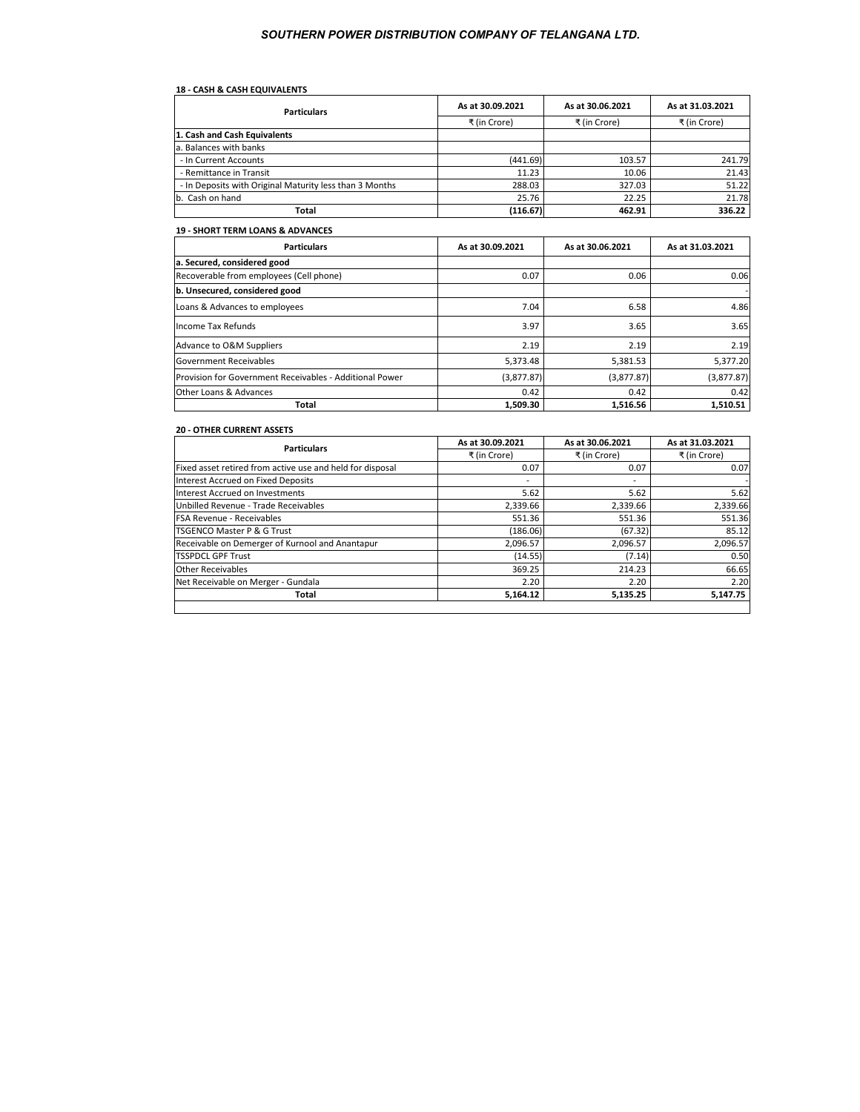# **18 - CASH & CASH EQUIVALENTS**

| <b>Particulars</b>                                      | As at 30.09.2021 | As at 30.06.2021 | As at 31.03.2021 |
|---------------------------------------------------------|------------------|------------------|------------------|
|                                                         | ₹ (in Crore)     | ₹ (in Crore)     | ₹ (in Crore)     |
| 1. Cash and Cash Equivalents                            |                  |                  |                  |
| a. Balances with banks                                  |                  |                  |                  |
| - In Current Accounts                                   | (441.69)         | 103.57           | 241.79           |
| - Remittance in Transit                                 | 11.23            | 10.06            | 21.43            |
| - In Deposits with Original Maturity less than 3 Months | 288.03           | 327.03           | 51.22            |
| b. Cash on hand                                         | 25.76            | 22.25            | 21.78            |
| Total                                                   | (116.67)         | 462.91           | 336.22           |

#### **19 - SHORT TERM LOANS & ADVANCES**

| <b>Particulars</b>                                      | As at 30.09.2021 | As at 30.06.2021 | As at 31.03.2021 |
|---------------------------------------------------------|------------------|------------------|------------------|
| a. Secured, considered good                             |                  |                  |                  |
| Recoverable from employees (Cell phone)                 | 0.07             | 0.06             | 0.06             |
| b. Unsecured, considered good                           |                  |                  |                  |
| Loans & Advances to employees                           | 7.04             | 6.58             | 4.86             |
| Income Tax Refunds                                      | 3.97             | 3.65             | 3.65             |
| Advance to O&M Suppliers                                | 2.19             | 2.19             | 2.19             |
| <b>Government Receivables</b>                           | 5,373.48         | 5,381.53         | 5,377.20         |
| Provision for Government Receivables - Additional Power | (3,877.87)       | (3,877.87)       | (3,877.87)       |
| Other Loans & Advances                                  | 0.42             | 0.42             | 0.42             |
| Total                                                   | 1,509.30         | 1,516.56         | 1,510.51         |

#### **20 - OTHER CURRENT ASSETS**

| <b>Particulars</b>                                        | As at 30.09.2021 | As at 30.06.2021 | As at 31.03.2021 |
|-----------------------------------------------------------|------------------|------------------|------------------|
|                                                           | ₹ (in Crore)     | ₹ (in Crore)     | ₹ (in Crore)     |
| Fixed asset retired from active use and held for disposal | 0.07             | 0.07             | 0.07             |
| Interest Accrued on Fixed Deposits                        | -                | $\blacksquare$   |                  |
| Interest Accrued on Investments                           | 5.62             | 5.62             | 5.62             |
| Unbilled Revenue - Trade Receivables                      | 2,339.66         | 2,339.66         | 2,339.66         |
| <b>FSA Revenue - Receivables</b>                          | 551.36           | 551.36           | 551.36           |
| <b>TSGENCO Master P &amp; G Trust</b>                     | (186.06)         | (67.32)          | 85.12            |
| Receivable on Demerger of Kurnool and Anantapur           | 2,096.57         | 2,096.57         | 2,096.57         |
| <b>TSSPDCL GPF Trust</b>                                  | (14.55)          | (7.14)           | 0.50             |
| <b>Other Receivables</b>                                  | 369.25           | 214.23           | 66.65            |
| Net Receivable on Merger - Gundala                        | 2.20             | 2.20             | 2.20             |
| Total                                                     | 5,164.12         | 5,135.25         | 5,147.75         |
|                                                           |                  |                  |                  |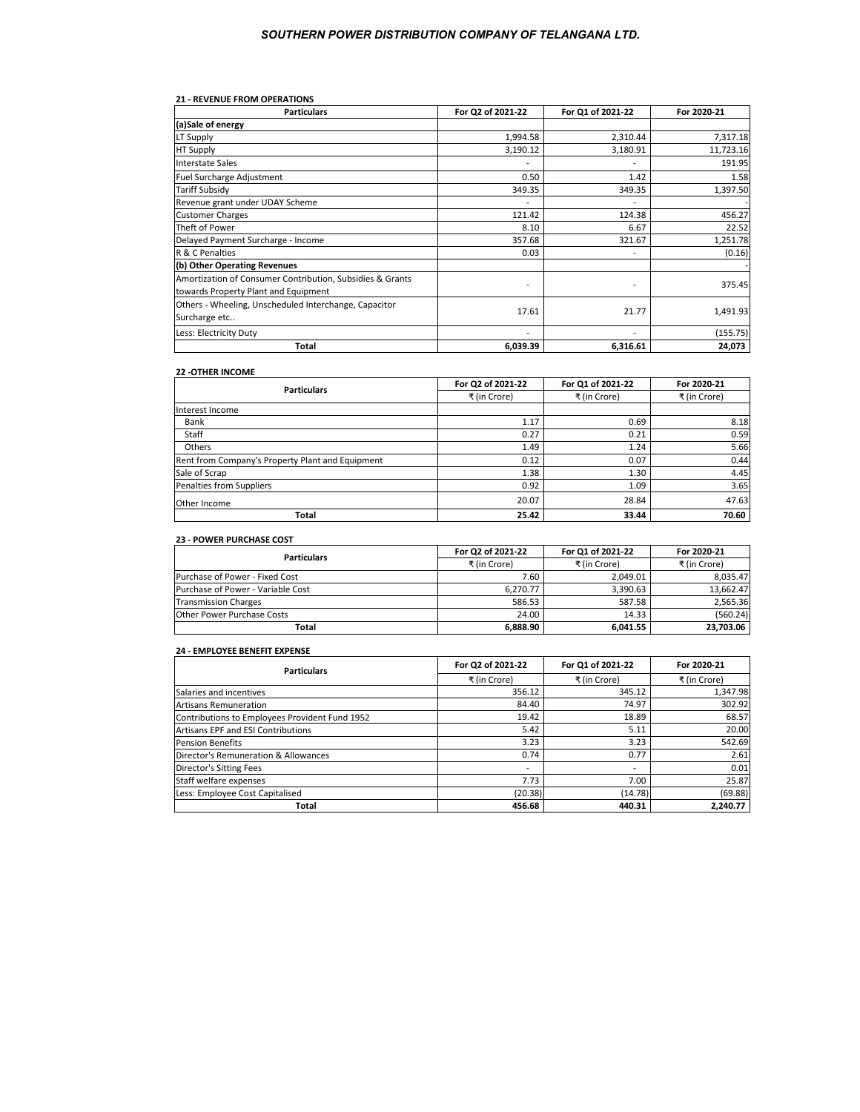#### **21 - REVENUE FROM OPERATIONS**

| <b>Particulars</b>                                        | For Q2 of 2021-22 | For Q1 of 2021-22 | For 2020-21 |
|-----------------------------------------------------------|-------------------|-------------------|-------------|
| (a)Sale of energy                                         |                   |                   |             |
| <b>LT Supply</b>                                          | 1,994.58          | 2,310.44          | 7,317.18    |
| <b>HT Supply</b>                                          | 3,190.12          | 3,180.91          | 11,723.16   |
| Interstate Sales                                          |                   |                   | 191.95      |
| Fuel Surcharge Adjustment                                 | 0.50              | 1.42              | 1.58        |
| <b>Tariff Subsidy</b>                                     | 349.35            | 349.35            | 1,397.50    |
| Revenue grant under UDAY Scheme                           |                   |                   |             |
| <b>Customer Charges</b>                                   | 121.42            | 124.38            | 456.27      |
| Theft of Power                                            | 8.10              | 6.67              | 22.52       |
| Delayed Payment Surcharge - Income                        | 357.68            | 321.67            | 1,251.78    |
| R & C Penalties                                           | 0.03              |                   | (0.16)      |
| (b) Other Operating Revenues                              |                   |                   |             |
| Amortization of Consumer Contribution, Subsidies & Grants |                   |                   | 375.45      |
| towards Property Plant and Equipment                      |                   |                   |             |
| Others - Wheeling, Unscheduled Interchange, Capacitor     | 17.61             | 21.77             | 1,491.93    |
| Surcharge etc                                             |                   |                   |             |
| Less: Electricity Duty                                    |                   |                   | (155.75)    |
| Total                                                     | 6,039.39          | 6,316.61          | 24,073      |

# **22 -OTHER INCOME**

| <b>Particulars</b>                               | For Q2 of 2021-22 | For Q1 of 2021-22 | For 2020-21  |
|--------------------------------------------------|-------------------|-------------------|--------------|
|                                                  | ₹ (in Crore)      | ₹ (in Crore)      | ₹ (in Crore) |
| Interest Income                                  |                   |                   |              |
| Bank                                             | 1.17              | 0.69              | 8.18         |
| Staff                                            | 0.27              | 0.21              | 0.59         |
| Others                                           | 1.49              | 1.24              | 5.66         |
| Rent from Company's Property Plant and Equipment | 0.12              | 0.07              | 0.44         |
| Sale of Scrap                                    | 1.38              | 1.30              | 4.45         |
| Penalties from Suppliers                         | 0.92              | 1.09              | 3.65         |
| Other Income                                     | 20.07             | 28.84             | 47.63        |
| Total                                            | 25.42             | 33.44             | 70.60        |

# **23 - POWER PURCHASE COST**

| <b>Particulars</b>                | For Q2 of 2021-22 | For Q1 of 2021-22 | For 2020-21  |
|-----------------------------------|-------------------|-------------------|--------------|
|                                   | ₹ (in Crore)      | ₹ (in Crore)      | ₹ (in Crore) |
| Purchase of Power - Fixed Cost    | 7.60              | 2.049.01          | 8.035.47     |
| Purchase of Power - Variable Cost | 6.270.77          | 3.390.63          | 13,662.47    |
| <b>Transmission Charges</b>       | 586.53            | 587.58            | 2.565.36     |
| Other Power Purchase Costs        | 24.00             | 14.33             | (560.24)     |
| Total                             | 6.888.90          | 6.041.55          | 23,703.06    |

# **24 - EMPLOYEE BENEFIT EXPENSE**

| <b>Particulars</b>                             | For Q1 of 2021-22<br>For Q2 of 2021-22<br>For 2020-21 |                |              |
|------------------------------------------------|-------------------------------------------------------|----------------|--------------|
|                                                | ₹ (in Crore)                                          | ₹ (in Crore)   | ₹ (in Crore) |
| Salaries and incentives                        | 356.12                                                | 345.12         | 1,347.98     |
| <b>Artisans Remuneration</b>                   | 84.40                                                 | 74.97          | 302.92       |
| Contributions to Employees Provident Fund 1952 | 19.42                                                 | 18.89          | 68.57        |
| Artisans EPF and ESI Contributions             | 5.42                                                  | 5.11           | 20.00        |
| <b>Pension Benefits</b>                        | 3.23                                                  | 3.23           | 542.69       |
| Director's Remuneration & Allowances           | 0.74                                                  | 0.77           | 2.61         |
| <b>Director's Sitting Fees</b>                 | $\overline{\phantom{0}}$                              | $\blacksquare$ | 0.01         |
| Staff welfare expenses                         | 7.73                                                  | 7.00           | 25.87        |
| Less: Employee Cost Capitalised                | (20.38)                                               | (14.78)        | (69.88)      |
| Total                                          | 456.68                                                | 440.31         | 2.240.77     |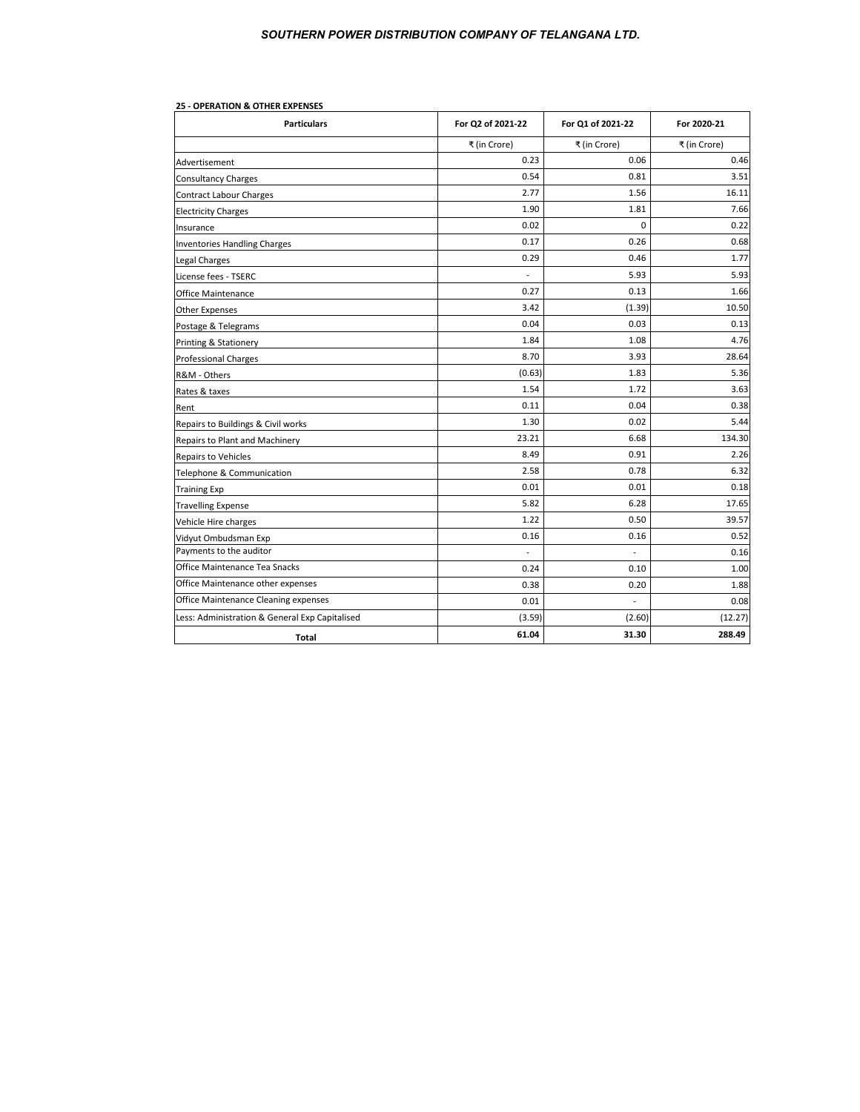| <b>Particulars</b>                             | For Q2 of 2021-22 | For Q1 of 2021-22 | For 2020-21  |
|------------------------------------------------|-------------------|-------------------|--------------|
|                                                | ₹ (in Crore)      | ₹ (in Crore)      | ₹ (in Crore) |
| Advertisement                                  | 0.23              | 0.06              | 0.46         |
| <b>Consultancy Charges</b>                     | 0.54              | 0.81              | 3.51         |
| <b>Contract Labour Charges</b>                 | 2.77              | 1.56              | 16.11        |
| <b>Electricity Charges</b>                     | 1.90              | 1.81              | 7.66         |
| Insurance                                      | 0.02              | $\Omega$          | 0.22         |
| <b>Inventories Handling Charges</b>            | 0.17              | 0.26              | 0.68         |
| <b>Legal Charges</b>                           | 0.29              | 0.46              | 1.77         |
| License fees - TSERC                           |                   | 5.93              | 5.93         |
| <b>Office Maintenance</b>                      | 0.27              | 0.13              | 1.66         |
| <b>Other Expenses</b>                          | 3.42              | (1.39)            | 10.50        |
| Postage & Telegrams                            | 0.04              | 0.03              | 0.13         |
| Printing & Stationery                          | 1.84              | 1.08              | 4.76         |
| <b>Professional Charges</b>                    | 8.70              | 3.93              | 28.64        |
| R&M - Others                                   | (0.63)            | 1.83              | 5.36         |
| Rates & taxes                                  | 1.54              | 1.72              | 3.63         |
| Rent                                           | 0.11              | 0.04              | 0.38         |
| Repairs to Buildings & Civil works             | 1.30              | 0.02              | 5.44         |
| Repairs to Plant and Machinery                 | 23.21             | 6.68              | 134.30       |
| Repairs to Vehicles                            | 8.49              | 0.91              | 2.26         |
| Telephone & Communication                      | 2.58              | 0.78              | 6.32         |
| <b>Training Exp</b>                            | 0.01              | 0.01              | 0.18         |
| <b>Travelling Expense</b>                      | 5.82              | 6.28              | 17.65        |
| Vehicle Hire charges                           | 1.22              | 0.50              | 39.57        |
| Vidyut Ombudsman Exp                           | 0.16              | 0.16              | 0.52         |
| Payments to the auditor                        |                   |                   | 0.16         |
| Office Maintenance Tea Snacks                  | 0.24              | 0.10              | 1.00         |
| Office Maintenance other expenses              | 0.38              | 0.20              | 1.88         |
| Office Maintenance Cleaning expenses           | 0.01              |                   | 0.08         |
| Less: Administration & General Exp Capitalised | (3.59)            | (2.60)            | (12.27)      |
| Total                                          | 61.04             | 31.30             | 288.49       |

# **25 - OPERATION & OTHER EXPENSES**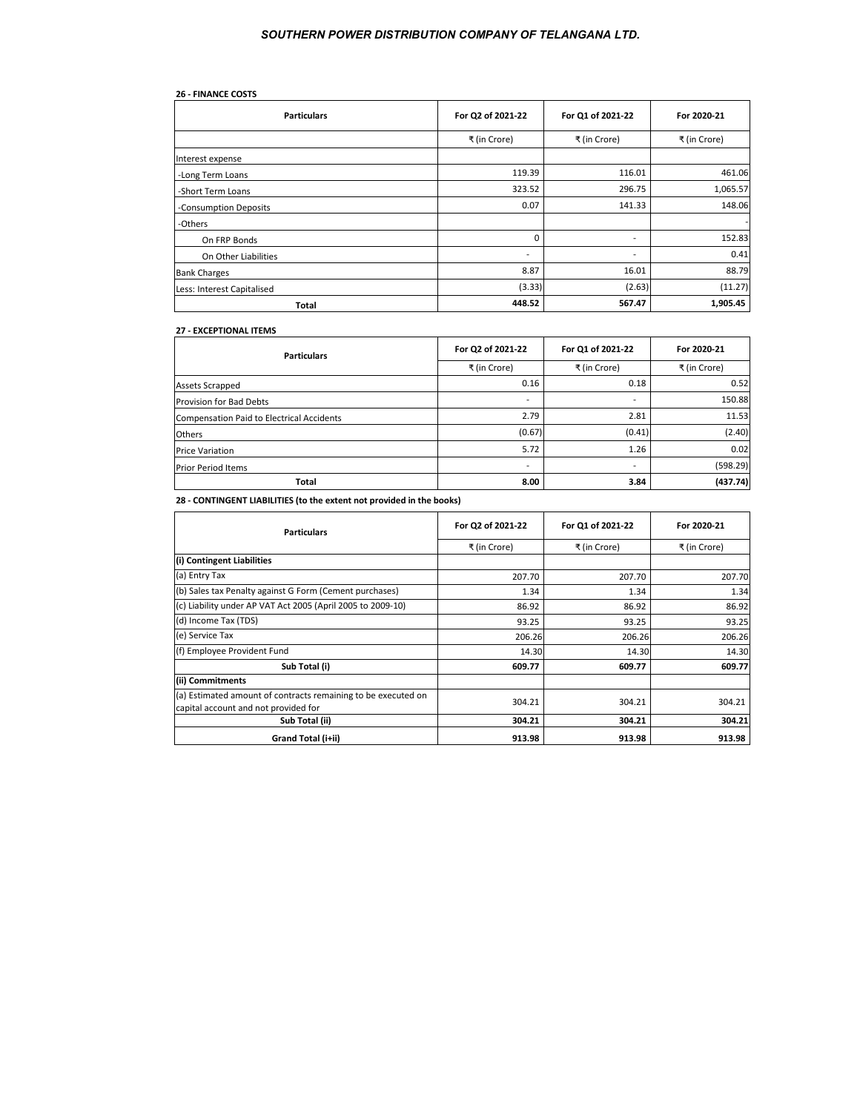| <b>26 - FINANCE COSTS</b>  |                          |                          |                          |
|----------------------------|--------------------------|--------------------------|--------------------------|
| <b>Particulars</b>         | For Q2 of 2021-22        | For Q1 of 2021-22        | For 2020-21              |
|                            | ₹ (in Crore)             | ₹ (in Crore)             | ₹ (in Crore)             |
| Interest expense           |                          |                          |                          |
| -Long Term Loans           | 119.39                   | 116.01                   | 461.06                   |
| -Short Term Loans          | 323.52                   | 296.75                   | 1,065.57                 |
| -Consumption Deposits      | 0.07                     | 141.33                   | 148.06                   |
| -Others                    |                          |                          | $\overline{\phantom{a}}$ |
| On FRP Bonds               | 0                        | $\overline{\phantom{a}}$ | 152.83                   |
| On Other Liabilities       | $\overline{\phantom{a}}$ | $\overline{\phantom{a}}$ | 0.41                     |
| <b>Bank Charges</b>        | 8.87                     | 16.01                    | 88.79                    |
| Less: Interest Capitalised | (3.33)                   | (2.63)                   | (11.27)                  |
| Total                      | 448.52                   | 567.47                   | 1,905.45                 |

#### **27 - EXCEPTIONAL ITEMS**

| <b>Particulars</b>                        | For Q2 of 2021-22        | For Q1 of 2021-22        | For 2020-21  |
|-------------------------------------------|--------------------------|--------------------------|--------------|
|                                           | ₹ (in Crore)             | ₹ (in Crore)             | ₹ (in Crore) |
| Assets Scrapped                           | 0.16                     | 0.18                     | 0.52         |
| Provision for Bad Debts                   | $\overline{\phantom{a}}$ | $\blacksquare$           | 150.88       |
| Compensation Paid to Electrical Accidents | 2.79                     | 2.81                     | 11.53        |
| Others                                    | (0.67)                   | (0.41)                   | (2.40)       |
| <b>Price Variation</b>                    | 5.72                     | 1.26                     | 0.02         |
| <b>Prior Period Items</b>                 | $\overline{\phantom{a}}$ | $\overline{\phantom{a}}$ | (598.29)     |
| <b>Total</b>                              | 8.00                     | 3.84                     | (437.74)     |

**28 - CONTINGENT LIABILITIES (to the extent not provided in the books)**

| <b>Particulars</b>                                                                                    | For Q2 of 2021-22 | For Q1 of 2021-22 | For 2020-21  |
|-------------------------------------------------------------------------------------------------------|-------------------|-------------------|--------------|
|                                                                                                       | ₹ (in Crore)      | ₹ (in Crore)      | ₹ (in Crore) |
| (i) Contingent Liabilities                                                                            |                   |                   |              |
| (a) Entry Tax                                                                                         | 207.70            | 207.70            | 207.70       |
| (b) Sales tax Penalty against G Form (Cement purchases)                                               | 1.34              | 1.34              | 1.34         |
| (c) Liability under AP VAT Act 2005 (April 2005 to 2009-10)                                           | 86.92             | 86.92             | 86.92        |
| (d) Income Tax (TDS)                                                                                  | 93.25             | 93.25             | 93.25        |
| (e) Service Tax                                                                                       | 206.26            | 206.26            | 206.26       |
| (f) Employee Provident Fund                                                                           | 14.30             | 14.30             | 14.30        |
| Sub Total (i)                                                                                         | 609.77            | 609.77            | 609.77       |
| (ii) Commitments                                                                                      |                   |                   |              |
| (a) Estimated amount of contracts remaining to be executed on<br>capital account and not provided for | 304.21            | 304.21            | 304.21       |
| Sub Total (ii)                                                                                        | 304.21            | 304.21            | 304.21       |
| Grand Total (i+ii)                                                                                    | 913.98            | 913.98            | 913.98       |